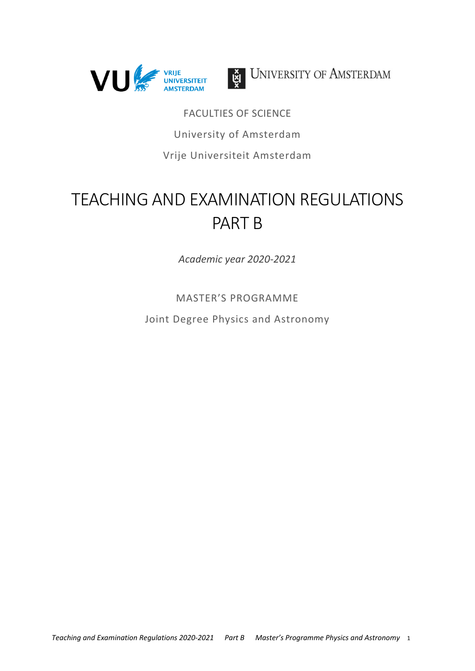



UNIVERSITY OF AMSTERDAM

FACULTIES OF SCIENCE University of Amsterdam Vrije Universiteit Amsterdam

# TEACHING AND EXAMINATION REGULATIONS PART B

*Academic year 2020‐2021*

MASTER'S PROGRAMME

Joint Degree Physics and Astronomy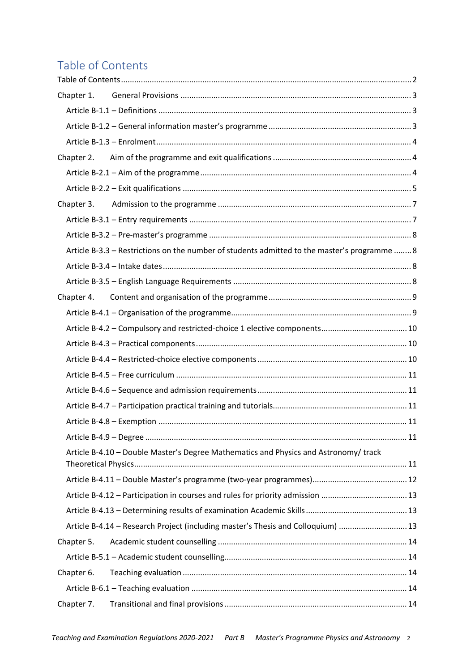# Table of Contents

| Chapter 1.                                                                                   |  |
|----------------------------------------------------------------------------------------------|--|
|                                                                                              |  |
|                                                                                              |  |
|                                                                                              |  |
|                                                                                              |  |
|                                                                                              |  |
|                                                                                              |  |
|                                                                                              |  |
|                                                                                              |  |
|                                                                                              |  |
| Article B-3.3 - Restrictions on the number of students admitted to the master's programme  8 |  |
|                                                                                              |  |
|                                                                                              |  |
| Chapter 4.                                                                                   |  |
|                                                                                              |  |
|                                                                                              |  |
|                                                                                              |  |
|                                                                                              |  |
|                                                                                              |  |
|                                                                                              |  |
|                                                                                              |  |
|                                                                                              |  |
|                                                                                              |  |
| Article B-4.10 - Double Master's Degree Mathematics and Physics and Astronomy/track          |  |
|                                                                                              |  |
|                                                                                              |  |
| Article B-4.12 - Participation in courses and rules for priority admission 13                |  |
|                                                                                              |  |
| Article B-4.14 - Research Project (including master's Thesis and Colloquium)  13             |  |
| Chapter 5.                                                                                   |  |
|                                                                                              |  |
| Chapter 6.                                                                                   |  |
|                                                                                              |  |
| Chapter 7.                                                                                   |  |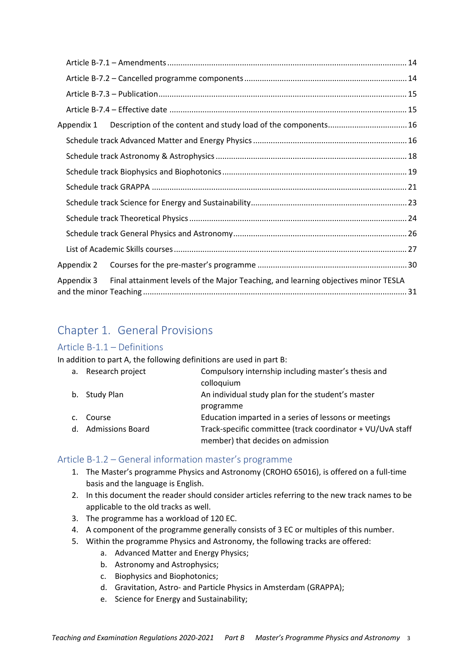| Appendix 1 |                                                                                    |  |
|------------|------------------------------------------------------------------------------------|--|
|            |                                                                                    |  |
|            |                                                                                    |  |
|            |                                                                                    |  |
|            |                                                                                    |  |
|            |                                                                                    |  |
|            |                                                                                    |  |
|            |                                                                                    |  |
|            |                                                                                    |  |
| Appendix 2 |                                                                                    |  |
| Appendix 3 | Final attainment levels of the Major Teaching, and learning objectives minor TESLA |  |

# Chapter 1. General Provisions

### Article B‐1.1 – Definitions

In addition to part A, the following definitions are used in part B:

|                | a. Research project | Compulsory internship including master's thesis and        |
|----------------|---------------------|------------------------------------------------------------|
|                |                     | colloquium                                                 |
|                | b. Study Plan       | An individual study plan for the student's master          |
|                |                     | programme                                                  |
| C <sub>1</sub> | Course              | Education imparted in a series of lessons or meetings      |
|                | d. Admissions Board | Track-specific committee (track coordinator + VU/UvA staff |
|                |                     | member) that decides on admission                          |

### Article B‐1.2 – General information master's programme

- 1. The Master's programme Physics and Astronomy (CROHO 65016), is offered on a full‐time basis and the language is English.
- 2. In this document the reader should consider articles referring to the new track names to be applicable to the old tracks as well.
- 3. The programme has a workload of 120 EC.
- 4. A component of the programme generally consists of 3 EC or multiples of this number.
- 5. Within the programme Physics and Astronomy, the following tracks are offered:
	- a. Advanced Matter and Energy Physics;
	- b. Astronomy and Astrophysics;
	- c. Biophysics and Biophotonics;
	- d. Gravitation, Astro‐ and Particle Physics in Amsterdam (GRAPPA);
	- e. Science for Energy and Sustainability;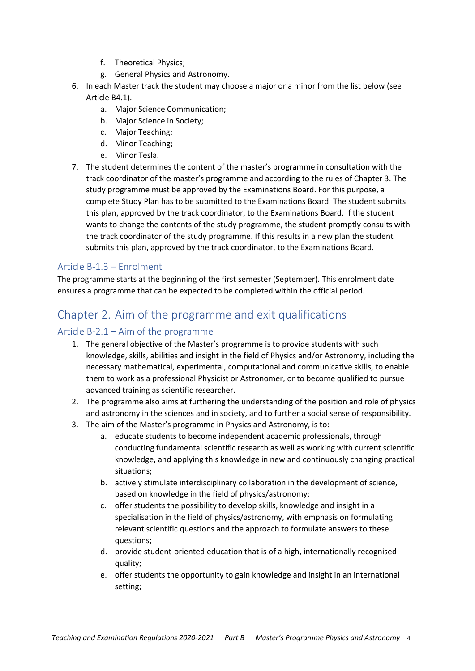- f. Theoretical Physics;
- g. General Physics and Astronomy.
- 6. In each Master track the student may choose a major or a minor from the list below (see Article B4.1).
	- a. Major Science Communication;
	- b. Major Science in Society;
	- c. Major Teaching;
	- d. Minor Teaching;
	- e. Minor Tesla.
- 7. The student determines the content of the master's programme in consultation with the track coordinator of the master's programme and according to the rules of Chapter 3. The study programme must be approved by the Examinations Board. For this purpose, a complete Study Plan has to be submitted to the Examinations Board. The student submits this plan, approved by the track coordinator, to the Examinations Board. If the student wants to change the contents of the study programme, the student promptly consults with the track coordinator of the study programme. If this results in a new plan the student submits this plan, approved by the track coordinator, to the Examinations Board.

#### Article B‐1.3 – Enrolment

The programme starts at the beginning of the first semester (September). This enrolment date ensures a programme that can be expected to be completed within the official period.

# Chapter 2. Aim of the programme and exit qualifications

### Article B‐2.1 – Aim of the programme

- 1. The general objective of the Master's programme is to provide students with such knowledge, skills, abilities and insight in the field of Physics and/or Astronomy, including the necessary mathematical, experimental, computational and communicative skills, to enable them to work as a professional Physicist or Astronomer, or to become qualified to pursue advanced training as scientific researcher.
- 2. The programme also aims at furthering the understanding of the position and role of physics and astronomy in the sciences and in society, and to further a social sense of responsibility.
- 3. The aim of the Master's programme in Physics and Astronomy, is to:
	- a. educate students to become independent academic professionals, through conducting fundamental scientific research as well as working with current scientific knowledge, and applying this knowledge in new and continuously changing practical situations;
	- b. actively stimulate interdisciplinary collaboration in the development of science, based on knowledge in the field of physics/astronomy;
	- c. offer students the possibility to develop skills, knowledge and insight in a specialisation in the field of physics/astronomy, with emphasis on formulating relevant scientific questions and the approach to formulate answers to these questions;
	- d. provide student‐oriented education that is of a high, internationally recognised quality;
	- e. offer students the opportunity to gain knowledge and insight in an international setting;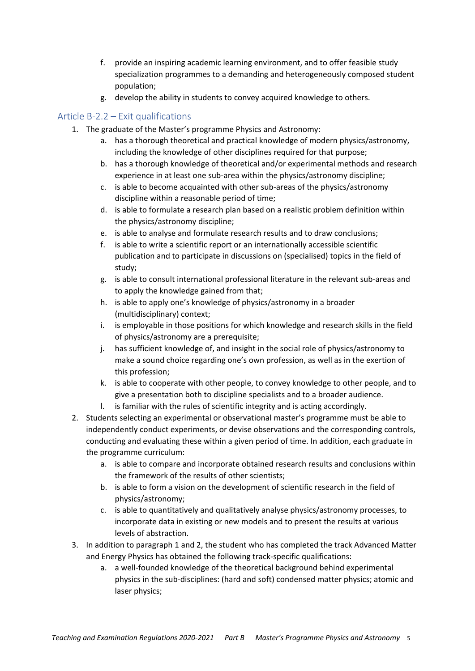- f. provide an inspiring academic learning environment, and to offer feasible study specialization programmes to a demanding and heterogeneously composed student population;
- g. develop the ability in students to convey acquired knowledge to others.

# Article B‐2.2 – Exit qualifications

- 1. The graduate of the Master's programme Physics and Astronomy:
	- a. has a thorough theoretical and practical knowledge of modern physics/astronomy, including the knowledge of other disciplines required for that purpose;
	- b. has a thorough knowledge of theoretical and/or experimental methods and research experience in at least one sub-area within the physics/astronomy discipline;
	- c. is able to become acquainted with other sub‐areas of the physics/astronomy discipline within a reasonable period of time;
	- d. is able to formulate a research plan based on a realistic problem definition within the physics/astronomy discipline;
	- e. is able to analyse and formulate research results and to draw conclusions;
	- f. is able to write a scientific report or an internationally accessible scientific publication and to participate in discussions on (specialised) topics in the field of study;
	- g. is able to consult international professional literature in the relevant sub‐areas and to apply the knowledge gained from that;
	- h. is able to apply one's knowledge of physics/astronomy in a broader (multidisciplinary) context;
	- i. is employable in those positions for which knowledge and research skills in the field of physics/astronomy are a prerequisite;
	- j. has sufficient knowledge of, and insight in the social role of physics/astronomy to make a sound choice regarding one's own profession, as well as in the exertion of this profession;
	- k. is able to cooperate with other people, to convey knowledge to other people, and to give a presentation both to discipline specialists and to a broader audience.
	- l. is familiar with the rules of scientific integrity and is acting accordingly.
- 2. Students selecting an experimental or observational master's programme must be able to independently conduct experiments, or devise observations and the corresponding controls, conducting and evaluating these within a given period of time. In addition, each graduate in the programme curriculum:
	- a. is able to compare and incorporate obtained research results and conclusions within the framework of the results of other scientists;
	- b. is able to form a vision on the development of scientific research in the field of physics/astronomy;
	- c. is able to quantitatively and qualitatively analyse physics/astronomy processes, to incorporate data in existing or new models and to present the results at various levels of abstraction.
- 3. In addition to paragraph 1 and 2, the student who has completed the track Advanced Matter and Energy Physics has obtained the following track‐specific qualifications:
	- a. a well‐founded knowledge of the theoretical background behind experimental physics in the sub‐disciplines: (hard and soft) condensed matter physics; atomic and laser physics;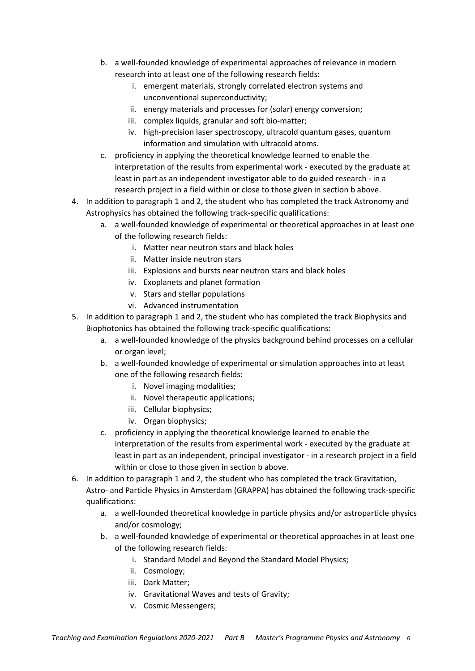- b. a well‐founded knowledge of experimental approaches of relevance in modern research into at least one of the following research fields:
	- i. emergent materials, strongly correlated electron systems and unconventional superconductivity;
	- ii. energy materials and processes for (solar) energy conversion;
	- iii. complex liquids, granular and soft bio-matter;
	- iv. high‐precision laser spectroscopy, ultracold quantum gases, quantum information and simulation with ultracold atoms.
- c. proficiency in applying the theoretical knowledge learned to enable the interpretation of the results from experimental work ‐ executed by the graduate at least in part as an independent investigator able to do guided research ‐ in a research project in a field within or close to those given in section b above.
- 4. In addition to paragraph 1 and 2, the student who has completed the track Astronomy and Astrophysics has obtained the following track‐specific qualifications:
	- a. a well‐founded knowledge of experimental or theoretical approaches in at least one of the following research fields:
		- i. Matter near neutron stars and black holes
		- ii. Matter inside neutron stars
		- iii. Explosions and bursts near neutron stars and black holes
		- iv. Exoplanets and planet formation
		- v. Stars and stellar populations
		- vi. Advanced instrumentation
- 5. In addition to paragraph 1 and 2, the student who has completed the track Biophysics and Biophotonics has obtained the following track‐specific qualifications:
	- a. a well-founded knowledge of the physics background behind processes on a cellular or organ level;
	- b. a well‐founded knowledge of experimental or simulation approaches into at least one of the following research fields:
		- i. Novel imaging modalities;
		- ii. Novel therapeutic applications;
		- iii. Cellular biophysics;
		- iv. Organ biophysics;
	- c. proficiency in applying the theoretical knowledge learned to enable the interpretation of the results from experimental work ‐ executed by the graduate at least in part as an independent, principal investigator ‐ in a research project in a field within or close to those given in section b above.
- 6. In addition to paragraph 1 and 2, the student who has completed the track Gravitation, Astro‐ and Particle Physics in Amsterdam (GRAPPA) has obtained the following track‐specific qualifications:
	- a. a well‐founded theoretical knowledge in particle physics and/or astroparticle physics and/or cosmology;
	- b. a well‐founded knowledge of experimental or theoretical approaches in at least one of the following research fields:
		- i. Standard Model and Beyond the Standard Model Physics;
		- ii. Cosmology;
		- iii. Dark Matter;
		- iv. Gravitational Waves and tests of Gravity;
		- v. Cosmic Messengers;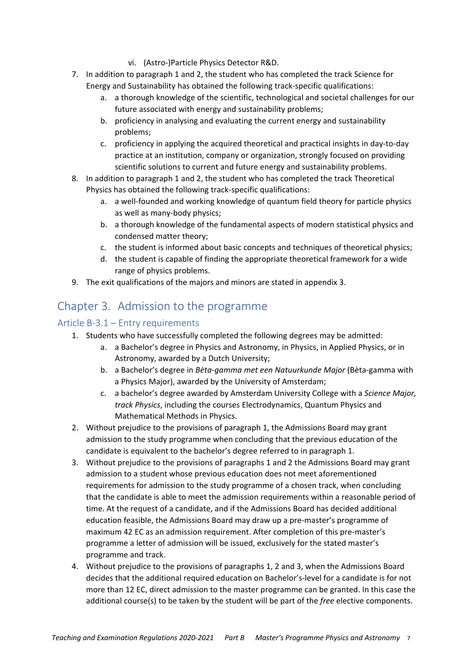- vi. (Astro‐)Particle Physics Detector R&D.
- 7. In addition to paragraph 1 and 2, the student who has completed the track Science for Energy and Sustainability has obtained the following track‐specific qualifications:
	- a. a thorough knowledge of the scientific, technological and societal challenges for our future associated with energy and sustainability problems;
	- b. proficiency in analysing and evaluating the current energy and sustainability problems;
	- c. proficiency in applying the acquired theoretical and practical insights in day‐to‐day practice at an institution, company or organization, strongly focused on providing scientific solutions to current and future energy and sustainability problems.
- 8. In addition to paragraph 1 and 2, the student who has completed the track Theoretical Physics has obtained the following track‐specific qualifications:
	- a. a well-founded and working knowledge of quantum field theory for particle physics as well as many‐body physics;
	- b. a thorough knowledge of the fundamental aspects of modern statistical physics and condensed matter theory;
	- c. the student is informed about basic concepts and techniques of theoretical physics;
	- d. the student is capable of finding the appropriate theoretical framework for a wide range of physics problems.
- 9. The exit qualifications of the majors and minors are stated in appendix 3.

# Chapter 3. Admission to the programme

### Article B‐3.1 – Entry requirements

- 1. Students who have successfully completed the following degrees may be admitted:
	- a. a Bachelor's degree in Physics and Astronomy, in Physics, in Applied Physics, or in Astronomy, awarded by a Dutch University;
	- b. a Bachelor's degree in *Bèta‐gamma met een Natuurkunde Major* (Bèta‐gamma with a Physics Major), awarded by the University of Amsterdam;
	- c. a bachelor's degree awarded by Amsterdam University College with a *Science Major, track Physics*, including the courses Electrodynamics, Quantum Physics and Mathematical Methods in Physics.
- 2. Without prejudice to the provisions of paragraph 1, the Admissions Board may grant admission to the study programme when concluding that the previous education of the candidate is equivalent to the bachelor's degree referred to in paragraph 1.
- 3. Without prejudice to the provisions of paragraphs 1 and 2 the Admissions Board may grant admission to a student whose previous education does not meet aforementioned requirements for admission to the study programme of a chosen track, when concluding that the candidate is able to meet the admission requirements within a reasonable period of time. At the request of a candidate, and if the Admissions Board has decided additional education feasible, the Admissions Board may draw up a pre‐master's programme of maximum 42 EC as an admission requirement. After completion of this pre‐master's programme a letter of admission will be issued, exclusively for the stated master's programme and track.
- 4. Without prejudice to the provisions of paragraphs 1, 2 and 3, when the Admissions Board decides that the additional required education on Bachelor's‐level for a candidate is for not more than 12 EC, direct admission to the master programme can be granted. In this case the additional course(s) to be taken by the student will be part of the *free* elective components.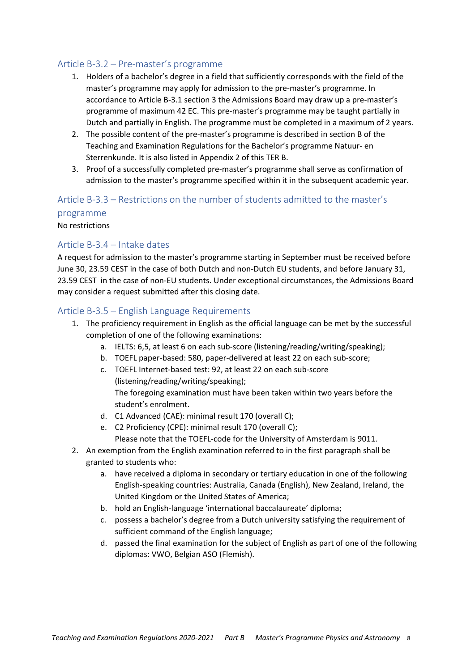#### Article B‐3.2 – Pre‐master's programme

- 1. Holders of a bachelor's degree in a field that sufficiently corresponds with the field of the master's programme may apply for admission to the pre‐master's programme. In accordance to Article B‐3.1 section 3 the Admissions Board may draw up a pre‐master's programme of maximum 42 EC. This pre‐master's programme may be taught partially in Dutch and partially in English. The programme must be completed in a maximum of 2 years.
- 2. The possible content of the pre-master's programme is described in section B of the Teaching and Examination Regulations for the Bachelor's programme Natuur‐ en Sterrenkunde. It is also listed in Appendix 2 of this TER B.
- 3. Proof of a successfully completed pre‐master's programme shall serve as confirmation of admission to the master's programme specified within it in the subsequent academic year.

# Article B‐3.3 – Restrictions on the number of students admitted to the master's

#### programme

No restrictions

### Article B‐3.4 – Intake dates

A request for admission to the master's programme starting in September must be received before June 30, 23.59 CEST in the case of both Dutch and non‐Dutch EU students, and before January 31, 23.59 CEST in the case of non‐EU students. Under exceptional circumstances, the Admissions Board may consider a request submitted after this closing date.

### Article B‐3.5 – English Language Requirements

- 1. The proficiency requirement in English as the official language can be met by the successful completion of one of the following examinations:
	- a. IELTS: 6,5, at least 6 on each sub‐score (listening/reading/writing/speaking);
	- b. TOEFL paper‐based: 580, paper‐delivered at least 22 on each sub‐score;
	- c. TOEFL Internet‐based test: 92, at least 22 on each sub‐score (listening/reading/writing/speaking); The foregoing examination must have been taken within two years before the student's enrolment.
	- d. C1 Advanced (CAE): minimal result 170 (overall C);
	- e. C2 Proficiency (CPE): minimal result 170 (overall C); Please note that the TOEFL‐code for the University of Amsterdam is 9011.
- 2. An exemption from the English examination referred to in the first paragraph shall be granted to students who:
	- a. have received a diploma in secondary or tertiary education in one of the following English‐speaking countries: Australia, Canada (English), New Zealand, Ireland, the United Kingdom or the United States of America;
	- b. hold an English‐language 'international baccalaureate' diploma;
	- c. possess a bachelor's degree from a Dutch university satisfying the requirement of sufficient command of the English language;
	- d. passed the final examination for the subject of English as part of one of the following diplomas: VWO, Belgian ASO (Flemish).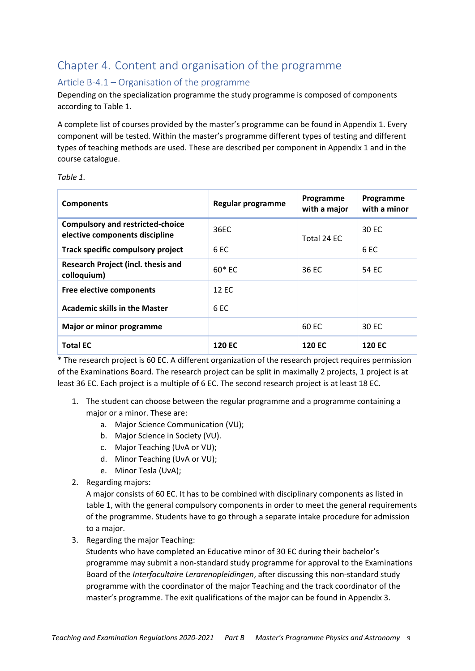# Chapter 4. Content and organisation of the programme

## Article B‐4.1 – Organisation of the programme

Depending on the specialization programme the study programme is composed of components according to Table 1.

A complete list of courses provided by the master's programme can be found in Appendix 1. Every component will be tested. Within the master's programme different types of testing and different types of teaching methods are used. These are described per component in Appendix 1 and in the course catalogue.

*Table 1.*

| Programme<br>Regular programme<br><b>Components</b>                       |                 | with a major  | Programme<br>with a minor |
|---------------------------------------------------------------------------|-----------------|---------------|---------------------------|
| <b>Compulsory and restricted-choice</b><br>elective components discipline | 36EC            | Total 24 EC   | 30 EC                     |
| Track specific compulsory project                                         | 6 <sub>EC</sub> |               | 6 EC                      |
| <b>Research Project (incl. thesis and</b><br>colloquium)                  | $60*FC$         | 36 EC         | 54 FC                     |
| Free elective components                                                  | 12 EC           |               |                           |
| <b>Academic skills in the Master</b>                                      | 6 <sub>EC</sub> |               |                           |
| Major or minor programme                                                  |                 | 60 EC         | 30 EC                     |
| <b>Total EC</b>                                                           | <b>120 EC</b>   | <b>120 EC</b> | <b>120 EC</b>             |

\* The research project is 60 EC. A different organization of the research project requires permission of the Examinations Board. The research project can be split in maximally 2 projects, 1 project is at least 36 EC. Each project is a multiple of 6 EC. The second research project is at least 18 EC.

- 1. The student can choose between the regular programme and a programme containing a major or a minor. These are:
	- a. Major Science Communication (VU);
	- b. Major Science in Society (VU).
	- c. Major Teaching (UvA or VU);
	- d. Minor Teaching (UvA or VU);
	- e. Minor Tesla (UvA);
- 2. Regarding majors:

A major consists of 60 EC. It has to be combined with disciplinary components as listed in table 1, with the general compulsory components in order to meet the general requirements of the programme. Students have to go through a separate intake procedure for admission to a major.

3. Regarding the major Teaching:

Students who have completed an Educative minor of 30 EC during their bachelor's programme may submit a non‐standard study programme for approval to the Examinations Board of the *Interfacultaire Lerarenopleidingen*, after discussing this non‐standard study programme with the coordinator of the major Teaching and the track coordinator of the master's programme. The exit qualifications of the major can be found in Appendix 3.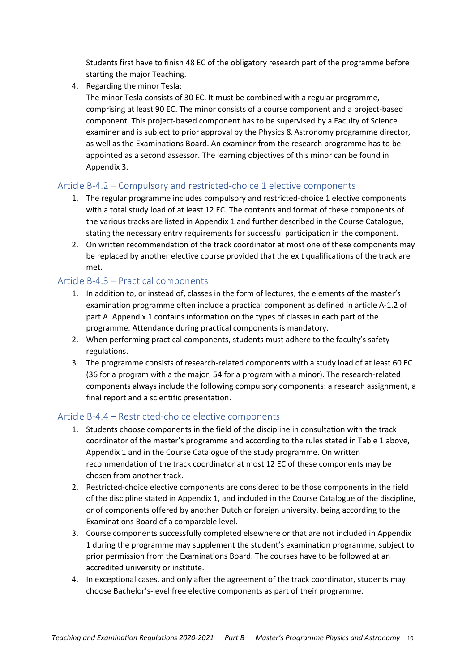Students first have to finish 48 EC of the obligatory research part of the programme before starting the major Teaching.

4. Regarding the minor Tesla:

The minor Tesla consists of 30 EC. It must be combined with a regular programme, comprising at least 90 EC. The minor consists of a course component and a project‐based component. This project‐based component has to be supervised by a Faculty of Science examiner and is subject to prior approval by the Physics & Astronomy programme director, as well as the Examinations Board. An examiner from the research programme has to be appointed as a second assessor. The learning objectives of this minor can be found in Appendix 3.

### Article B-4.2 – Compulsory and restricted-choice 1 elective components

- 1. The regular programme includes compulsory and restricted‐choice 1 elective components with a total study load of at least 12 EC. The contents and format of these components of the various tracks are listed in Appendix 1 and further described in the Course Catalogue, stating the necessary entry requirements for successful participation in the component.
- 2. On written recommendation of the track coordinator at most one of these components may be replaced by another elective course provided that the exit qualifications of the track are met.

### Article B‐4.3 – Practical components

- 1. In addition to, or instead of, classes in the form of lectures, the elements of the master's examination programme often include a practical component as defined in article A‐1.2 of part A. Appendix 1 contains information on the types of classes in each part of the programme. Attendance during practical components is mandatory.
- 2. When performing practical components, students must adhere to the faculty's safety regulations.
- 3. The programme consists of research‐related components with a study load of at least 60 EC (36 for a program with a the major, 54 for a program with a minor). The research‐related components always include the following compulsory components: a research assignment, a final report and a scientific presentation.

### Article B‐4.4 – Restricted‐choice elective components

- 1. Students choose components in the field of the discipline in consultation with the track coordinator of the master's programme and according to the rules stated in Table 1 above, Appendix 1 and in the Course Catalogue of the study programme. On written recommendation of the track coordinator at most 12 EC of these components may be chosen from another track.
- 2. Restricted-choice elective components are considered to be those components in the field of the discipline stated in Appendix 1, and included in the Course Catalogue of the discipline, or of components offered by another Dutch or foreign university, being according to the Examinations Board of a comparable level.
- 3. Course components successfully completed elsewhere or that are not included in Appendix 1 during the programme may supplement the student's examination programme, subject to prior permission from the Examinations Board. The courses have to be followed at an accredited university or institute.
- 4. In exceptional cases, and only after the agreement of the track coordinator, students may choose Bachelor's‐level free elective components as part of their programme.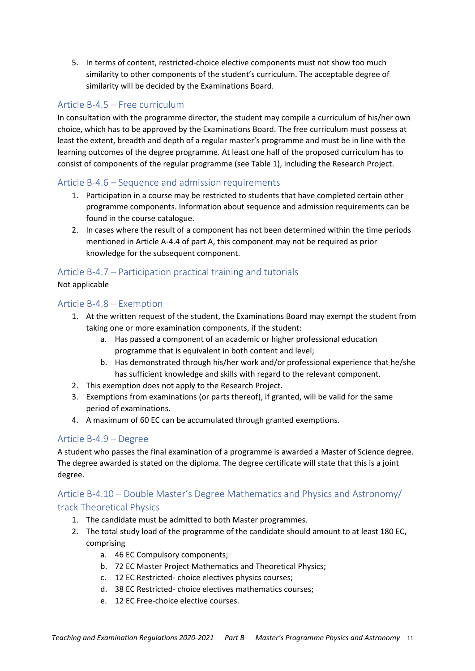5. In terms of content, restricted‐choice elective components must not show too much similarity to other components of the student's curriculum. The acceptable degree of similarity will be decided by the Examinations Board.

### Article B‐4.5 – Free curriculum

In consultation with the programme director, the student may compile a curriculum of his/her own choice, which has to be approved by the Examinations Board. The free curriculum must possess at least the extent, breadth and depth of a regular master's programme and must be in line with the learning outcomes of the degree programme. At least one half of the proposed curriculum has to consist of components of the regular programme (see Table 1), including the Research Project.

### Article B‐4.6 – Sequence and admission requirements

- 1. Participation in a course may be restricted to students that have completed certain other programme components. Information about sequence and admission requirements can be found in the course catalogue.
- 2. In cases where the result of a component has not been determined within the time periods mentioned in Article A‐4.4 of part A, this component may not be required as prior knowledge for the subsequent component.

### Article B‐4.7 – Participation practical training and tutorials

#### Not applicable

#### Article B‐4.8 – Exemption

- 1. At the written request of the student, the Examinations Board may exempt the student from taking one or more examination components, if the student:
	- a. Has passed a component of an academic or higher professional education programme that is equivalent in both content and level;
	- b. Has demonstrated through his/her work and/or professional experience that he/she has sufficient knowledge and skills with regard to the relevant component.
- 2. This exemption does not apply to the Research Project.
- 3. Exemptions from examinations (or parts thereof), if granted, will be valid for the same period of examinations.
- 4. A maximum of 60 EC can be accumulated through granted exemptions.

#### Article B‐4.9 – Degree

A student who passes the final examination of a programme is awarded a Master of Science degree. The degree awarded is stated on the diploma. The degree certificate will state that this is a joint degree.

# Article B‐4.10 – Double Master's Degree Mathematics and Physics and Astronomy/

#### track Theoretical Physics

- 1. The candidate must be admitted to both Master programmes.
- 2. The total study load of the programme of the candidate should amount to at least 180 EC, comprising
	- a. 46 EC Compulsory components;
	- b. 72 EC Master Project Mathematics and Theoretical Physics;
	- c. 12 EC Restricted‐ choice electives physics courses;
	- d. 38 EC Restricted‐ choice electives mathematics courses;
	- e. 12 EC Free‐choice elective courses.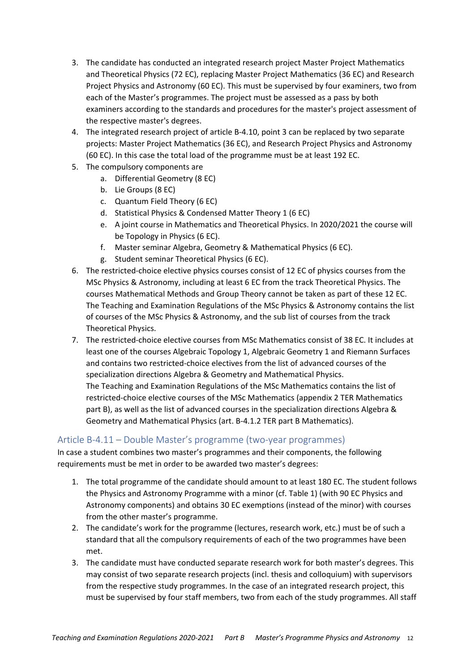- 3. The candidate has conducted an integrated research project Master Project Mathematics and Theoretical Physics (72 EC), replacing Master Project Mathematics (36 EC) and Research Project Physics and Astronomy (60 EC). This must be supervised by four examiners, two from each of the Master's programmes. The project must be assessed as a pass by both examiners according to the standards and procedures for the master's project assessment of the respective master's degrees.
- 4. The integrated research project of article B-4.10, point 3 can be replaced by two separate projects: Master Project Mathematics (36 EC), and Research Project Physics and Astronomy (60 EC). In this case the total load of the programme must be at least 192 EC.
- 5. The compulsory components are
	- a. Differential Geometry (8 EC)
	- b. Lie Groups (8 EC)
	- c. Quantum Field Theory (6 EC)
	- d. Statistical Physics & Condensed Matter Theory 1 (6 EC)
	- e. A joint course in Mathematics and Theoretical Physics. In 2020/2021 the course will be Topology in Physics (6 EC).
	- f. Master seminar Algebra, Geometry & Mathematical Physics (6 EC).
	- g. Student seminar Theoretical Physics (6 EC).
- 6. The restricted-choice elective physics courses consist of 12 EC of physics courses from the MSc Physics & Astronomy, including at least 6 EC from the track Theoretical Physics. The courses Mathematical Methods and Group Theory cannot be taken as part of these 12 EC. The Teaching and Examination Regulations of the MSc Physics & Astronomy contains the list of courses of the MSc Physics & Astronomy, and the sub list of courses from the track Theoretical Physics.
- 7. The restricted-choice elective courses from MSc Mathematics consist of 38 EC. It includes at least one of the courses Algebraic Topology 1, Algebraic Geometry 1 and Riemann Surfaces and contains two restricted‐choice electives from the list of advanced courses of the specialization directions Algebra & Geometry and Mathematical Physics. The Teaching and Examination Regulations of the MSc Mathematics contains the list of restricted‐choice elective courses of the MSc Mathematics (appendix 2 TER Mathematics part B), as well as the list of advanced courses in the specialization directions Algebra & Geometry and Mathematical Physics (art. B‐4.1.2 TER part B Mathematics).

### Article B‐4.11 – Double Master's programme (two‐year programmes)

In case a student combines two master's programmes and their components, the following requirements must be met in order to be awarded two master's degrees:

- 1. The total programme of the candidate should amount to at least 180 EC. The student follows the Physics and Astronomy Programme with a minor (cf. Table 1) (with 90 EC Physics and Astronomy components) and obtains 30 EC exemptions (instead of the minor) with courses from the other master's programme.
- 2. The candidate's work for the programme (lectures, research work, etc.) must be of such a standard that all the compulsory requirements of each of the two programmes have been met.
- 3. The candidate must have conducted separate research work for both master's degrees. This may consist of two separate research projects (incl. thesis and colloquium) with supervisors from the respective study programmes. In the case of an integrated research project, this must be supervised by four staff members, two from each of the study programmes. All staff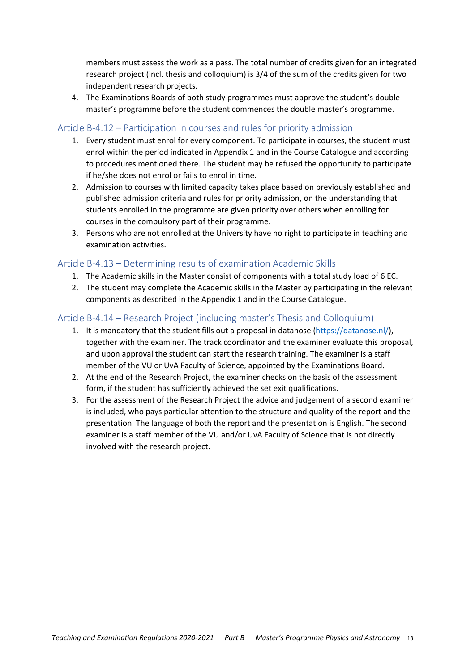members must assess the work as a pass. The total number of credits given for an integrated research project (incl. thesis and colloquium) is 3/4 of the sum of the credits given for two independent research projects.

4. The Examinations Boards of both study programmes must approve the student's double master's programme before the student commences the double master's programme.

#### Article B‐4.12 – Participation in courses and rules for priority admission

- 1. Every student must enrol for every component. To participate in courses, the student must enrol within the period indicated in Appendix 1 and in the Course Catalogue and according to procedures mentioned there. The student may be refused the opportunity to participate if he/she does not enrol or fails to enrol in time.
- 2. Admission to courses with limited capacity takes place based on previously established and published admission criteria and rules for priority admission, on the understanding that students enrolled in the programme are given priority over others when enrolling for courses in the compulsory part of their programme.
- 3. Persons who are not enrolled at the University have no right to participate in teaching and examination activities.

#### Article B‐4.13 – Determining results of examination Academic Skills

- 1. The Academic skills in the Master consist of components with a total study load of 6 EC.
- 2. The student may complete the Academic skills in the Master by participating in the relevant components as described in the Appendix 1 and in the Course Catalogue.

### Article B‐4.14 – Research Project (including master's Thesis and Colloquium)

- 1. It is mandatory that the student fills out a proposal in datanose (https://datanose.nl/), together with the examiner. The track coordinator and the examiner evaluate this proposal, and upon approval the student can start the research training. The examiner is a staff member of the VU or UvA Faculty of Science, appointed by the Examinations Board.
- 2. At the end of the Research Project, the examiner checks on the basis of the assessment form, if the student has sufficiently achieved the set exit qualifications.
- 3. For the assessment of the Research Project the advice and judgement of a second examiner is included, who pays particular attention to the structure and quality of the report and the presentation. The language of both the report and the presentation is English. The second examiner is a staff member of the VU and/or UvA Faculty of Science that is not directly involved with the research project.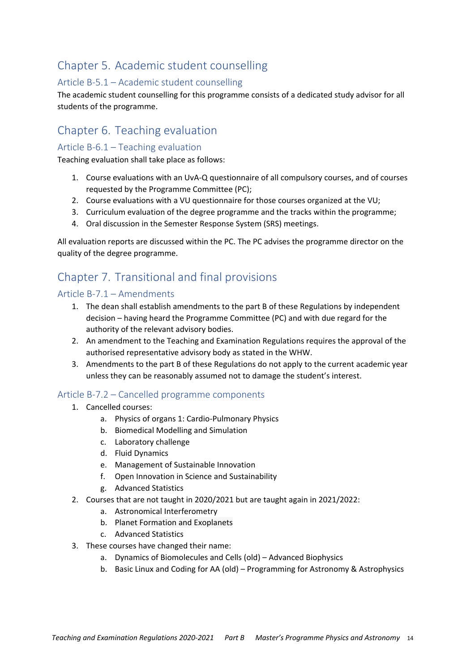# Chapter 5. Academic student counselling

### Article B‐5.1 – Academic student counselling

The academic student counselling for this programme consists of a dedicated study advisor for all students of the programme.

# Chapter 6. Teaching evaluation

#### Article B‐6.1 – Teaching evaluation

Teaching evaluation shall take place as follows:

- 1. Course evaluations with an UvA‐Q questionnaire of all compulsory courses, and of courses requested by the Programme Committee (PC);
- 2. Course evaluations with a VU questionnaire for those courses organized at the VU;
- 3. Curriculum evaluation of the degree programme and the tracks within the programme;
- 4. Oral discussion in the Semester Response System (SRS) meetings.

All evaluation reports are discussed within the PC. The PC advises the programme director on the quality of the degree programme.

# Chapter 7. Transitional and final provisions

#### Article B‐7.1 – Amendments

- 1. The dean shall establish amendments to the part B of these Regulations by independent decision – having heard the Programme Committee (PC) and with due regard for the authority of the relevant advisory bodies.
- 2. An amendment to the Teaching and Examination Regulations requires the approval of the authorised representative advisory body as stated in the WHW.
- 3. Amendments to the part B of these Regulations do not apply to the current academic year unless they can be reasonably assumed not to damage the student's interest.

#### Article B‐7.2 – Cancelled programme components

- 1. Cancelled courses:
	- a. Physics of organs 1: Cardio‐Pulmonary Physics
	- b. Biomedical Modelling and Simulation
	- c. Laboratory challenge
	- d. Fluid Dynamics
	- e. Management of Sustainable Innovation
	- f. Open Innovation in Science and Sustainability
	- g. Advanced Statistics
- 2. Courses that are not taught in 2020/2021 but are taught again in 2021/2022:
	- a. Astronomical Interferometry
	- b. Planet Formation and Exoplanets
	- c. Advanced Statistics
- 3. These courses have changed their name:
	- a. Dynamics of Biomolecules and Cells (old) Advanced Biophysics
	- b. Basic Linux and Coding for AA (old) Programming for Astronomy & Astrophysics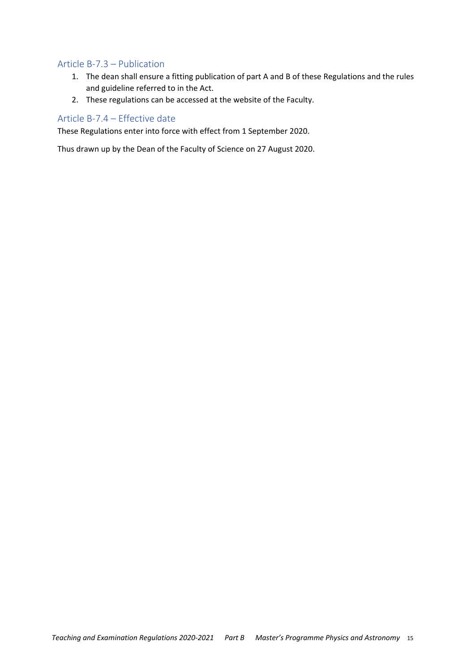#### Article B‐7.3 – Publication

- 1. The dean shall ensure a fitting publication of part A and B of these Regulations and the rules and guideline referred to in the Act.
- 2. These regulations can be accessed at the website of the Faculty.

#### Article B‐7.4 – Effective date

These Regulations enter into force with effect from 1 September 2020.

Thus drawn up by the Dean of the Faculty of Science on 27 August 2020.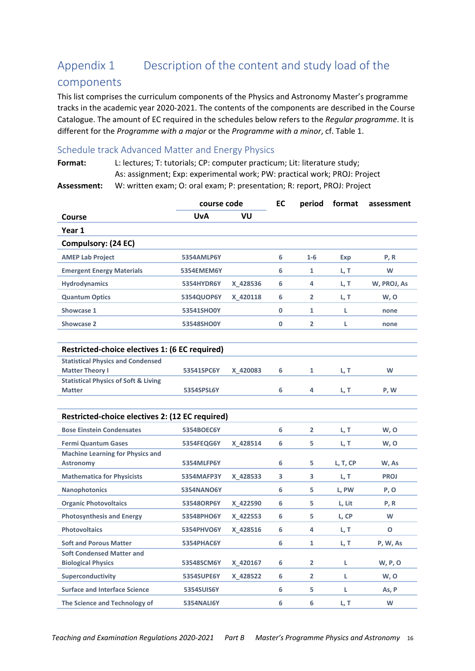# Appendix 1 Description of the content and study load of the

### components

This list comprises the curriculum components of the Physics and Astronomy Master's programme tracks in the academic year 2020‐2021. The contents of the components are described in the Course Catalogue. The amount of EC required in the schedules below refers to the *Regular programme*. It is different for the *Programme with a major* or the *Programme with a minor*, cf. Table 1.

#### Schedule track Advanced Matter and Energy Physics

|                                                                    | course code       |          | EC           | period         | format   | assessment   |
|--------------------------------------------------------------------|-------------------|----------|--------------|----------------|----------|--------------|
| Course                                                             | <b>UvA</b>        | VU       |              |                |          |              |
| Year 1                                                             |                   |          |              |                |          |              |
| Compulsory: (24 EC)                                                |                   |          |              |                |          |              |
| <b>AMEP Lab Project</b>                                            | 5354AMLP6Y        |          | 6            | $1 - 6$        | Exp      | P, R         |
| <b>Emergent Energy Materials</b>                                   | <b>5354EMEM6Y</b> |          | 6            | 1              | L, T     | W            |
| <b>Hydrodynamics</b>                                               | 5354HYDR6Y        | X 428536 | 6            | 4              | L, T     | W, PROJ, As  |
| <b>Quantum Optics</b>                                              | 5354QUOP6Y        | X 420118 | 6            | 2              | L, T     | w, o         |
| Showcase 1                                                         | 53541SHO0Y        |          | 0            | $\mathbf{1}$   | L        | none         |
| Showcase 2                                                         | 53548SHO0Y        |          | $\mathbf{0}$ | $\overline{2}$ | L        | none         |
| Restricted-choice electives 1: (6 EC required)                     |                   |          |              |                |          |              |
| <b>Statistical Physics and Condensed</b><br><b>Matter Theory I</b> | 53541SPC6Y        | X 420083 | 6            | 1              | L, T     | W            |
| <b>Statistical Physics of Soft &amp; Living</b><br><b>Matter</b>   | 5354SPSL6Y        |          | 6            | 4              | L, T     | P, W         |
| Restricted-choice electives 2: (12 EC required)                    |                   |          |              |                |          |              |
| <b>Bose Einstein Condensates</b>                                   | 5354BOEC6Y        |          | 6            | $\overline{2}$ | L, T     | W, O         |
| <b>Fermi Quantum Gases</b>                                         | 5354FEQG6Y        | X 428514 | 6            | 5              | L, T     | W, O         |
| <b>Machine Learning for Physics and</b><br><b>Astronomy</b>        | 5354MLFP6Y        |          | 6            | 5              | L, T, CP | W, As        |
| <b>Mathematica for Physicists</b>                                  | <b>5354MAFP3Y</b> | X 428533 | 3            | 3              | L, T     | <b>PROJ</b>  |
| <b>Nanophotonics</b>                                               | <b>5354NANO6Y</b> |          | 6            | 5              | L, PW    | P, O         |
| <b>Organic Photovoltaics</b>                                       | 53548ORP6Y        | X 422590 | 6            | 5              | L, Lit   | P, R         |
| <b>Photosynthesis and Energy</b>                                   | 53548PHO6Y        | X 422553 | 6            | 5              | L, CP    | W            |
| <b>Photovoltaics</b>                                               | 5354PHVO6Y        | X_428516 | 6            | 4              | L, T     | $\mathbf{O}$ |
| <b>Soft and Porous Matter</b>                                      | 5354PHAC6Y        |          | 6            | 1              | L, T     | P, W, As     |
| <b>Soft Condensed Matter and</b><br><b>Biological Physics</b>      | 53548SCM6Y        | X 420167 | 6            | 2              | L        | W, P, O      |
| Superconductivity                                                  | 5354SUPE6Y        | X 428522 | 6            | $\overline{2}$ | L        | W, O         |
| <b>Surface and Interface Science</b>                               | 5354SUIS6Y        |          | 6            | 5              | L        | As, P        |
| The Science and Technology of                                      | 5354NALI6Y        |          | 6            | 6              | L, T     | W            |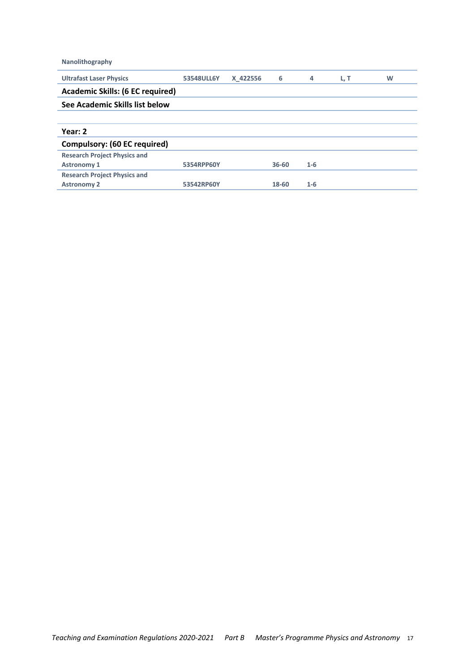**Nanolithography**

| 53548ULL6Y                     | X 422556 | 6         | 4       | L, T | W |  |  |  |
|--------------------------------|----------|-----------|---------|------|---|--|--|--|
|                                |          |           |         |      |   |  |  |  |
| See Academic Skills list below |          |           |         |      |   |  |  |  |
|                                |          |           |         |      |   |  |  |  |
|                                |          |           |         |      |   |  |  |  |
|                                |          |           |         |      |   |  |  |  |
|                                |          |           |         |      |   |  |  |  |
| 5354RPP60Y                     |          | $36 - 60$ | $1 - 6$ |      |   |  |  |  |
|                                |          |           |         |      |   |  |  |  |
| 53542RP60Y                     |          | 18-60     | $1 - 6$ |      |   |  |  |  |
|                                |          |           |         |      |   |  |  |  |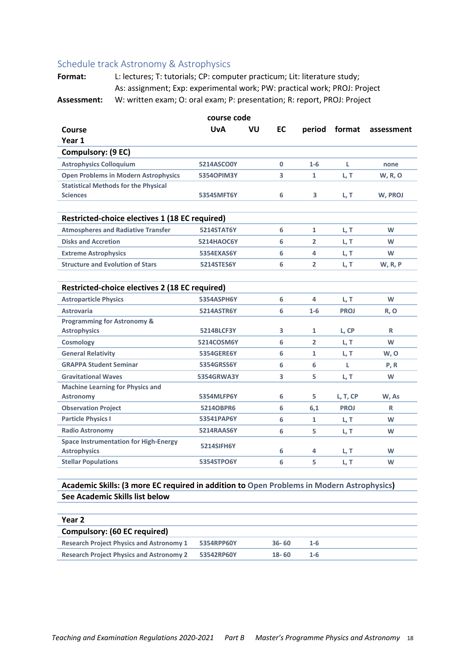#### Schedule track Astronomy & Astrophysics

Format: L: lectures; T: tutorials; CP: computer practicum; Lit: literature study; As: assignment; Exp: experimental work; PW: practical work; PROJ: Project **Assessment:** W: written exam; O: oral exam; P: presentation; R: report, PROJ: Project

| course code                                                         |                   |    |              |                |             |                |  |  |
|---------------------------------------------------------------------|-------------------|----|--------------|----------------|-------------|----------------|--|--|
| Course                                                              | <b>UvA</b>        | VU | <b>EC</b>    | period         | format      | assessment     |  |  |
| Year 1                                                              |                   |    |              |                |             |                |  |  |
| Compulsory: (9 EC)                                                  |                   |    |              |                |             |                |  |  |
| <b>Astrophysics Colloquium</b>                                      | 5214ASCO0Y        |    | $\mathbf{0}$ | $1 - 6$        | L           | none           |  |  |
| <b>Open Problems in Modern Astrophysics</b>                         | <b>53540PIM3Y</b> |    | 3            | $\mathbf{1}$   | L, T        | <b>W, R, O</b> |  |  |
| <b>Statistical Methods for the Physical</b>                         |                   |    |              |                |             |                |  |  |
| <b>Sciences</b>                                                     | 5354SMFT6Y        |    | 6            | 3              | L, T        | W, PROJ        |  |  |
| Restricted-choice electives 1 (18 EC required)                      |                   |    |              |                |             |                |  |  |
| <b>Atmospheres and Radiative Transfer</b>                           | <b>5214STAT6Y</b> |    | 6            | $\mathbf{1}$   | L, T        | W              |  |  |
| <b>Disks and Accretion</b>                                          | <b>5214HAOC6Y</b> |    | 6            | $\overline{2}$ | L, T        | W              |  |  |
| <b>Extreme Astrophysics</b>                                         | 5354EXAS6Y        |    | 6            | 4              | L, T        | W              |  |  |
| <b>Structure and Evolution of Stars</b>                             | 5214STES6Y        |    | 6            | $\overline{2}$ | L, T        | <b>W, R, P</b> |  |  |
| Restricted-choice electives 2 (18 EC required)                      |                   |    |              |                |             |                |  |  |
| <b>Astroparticle Physics</b>                                        | 5354ASPH6Y        |    | 6            | 4              | L, T        | W              |  |  |
| <b>Astrovaria</b>                                                   | 5214ASTR6Y        |    | 6            | $1-6$          | <b>PROJ</b> | R, O           |  |  |
| <b>Programming for Astronomy &amp;</b>                              |                   |    |              |                |             |                |  |  |
| <b>Astrophysics</b>                                                 | <b>5214BLCF3Y</b> |    | 3            | $\mathbf{1}$   | L, CP       | R              |  |  |
| <b>Cosmology</b>                                                    | 5214COSM6Y        |    | 6            | $\overline{2}$ | L, T        | W              |  |  |
| <b>General Relativity</b>                                           | <b>5354GERE6Y</b> |    | 6            | $\mathbf{1}$   | L, T        | W, O           |  |  |
| <b>GRAPPA Student Seminar</b>                                       | 5354GRSS6Y        |    | 6            | 6              | L           | P, R           |  |  |
| <b>Gravitational Waves</b>                                          | 5354GRWA3Y        |    | 3            | 5              | L, T        | w              |  |  |
| <b>Machine Learning for Physics and</b>                             |                   |    |              |                |             |                |  |  |
| <b>Astronomy</b>                                                    | 5354MLFP6Y        |    | 6            | 5              | L, T, CP    | W, As          |  |  |
| <b>Observation Project</b>                                          | 5214OBPR6         |    | 6            | 6,1            | <b>PROJ</b> | R              |  |  |
| <b>Particle Physics I</b>                                           | 53541PAP6Y        |    | 6            | $\mathbf{1}$   | L, T        | W              |  |  |
| <b>Radio Astronomy</b>                                              | 5214RAAS6Y        |    | 6            | 5              | L, T        | W              |  |  |
| <b>Space Instrumentation for High-Energy</b><br><b>Astrophysics</b> | 5214SIFH6Y        |    | 6            | 4              | L, T        | W              |  |  |
| <b>Stellar Populations</b>                                          | 5354STPO6Y        |    | 6            | 5              | L, T        | W              |  |  |
|                                                                     |                   |    |              |                |             |                |  |  |

#### **Academic Skills: (3 more EC required in addition to Open Problems in Modern Astrophysics) See Academic Skills list below**

| Year 2                                          |            |           |     |  |  |
|-------------------------------------------------|------------|-----------|-----|--|--|
| Compulsory: (60 EC required)                    |            |           |     |  |  |
| <b>Research Project Physics and Astronomy 1</b> | 5354RPP60Y | $36 - 60$ | 1-6 |  |  |
| <b>Research Project Physics and Astronomy 2</b> | 53542RP60Y | $18 - 60$ | 1-6 |  |  |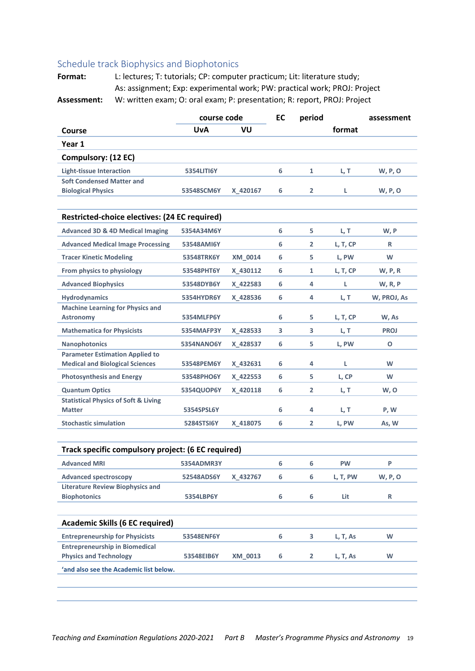#### Schedule track Biophysics and Biophotonics

| <b>UvA</b><br>VU<br>format<br>Course<br>Year 1<br>Compulsory: (12 EC)<br><b>Light-tissue Interaction</b><br><b>5354LITI6Y</b><br>6<br>$\mathbf{1}$<br>L, T<br><b>W, P, O</b><br><b>Soft Condensed Matter and</b><br><b>Biological Physics</b><br>6<br>$\overline{2}$<br><b>W, P, O</b><br>53548SCM6Y<br>X 420167<br>L<br>Restricted-choice electives: (24 EC required)<br><b>Advanced 3D &amp; 4D Medical Imaging</b><br>5354A34M6Y<br>6<br>5.<br>L, T<br>W, P<br><b>Advanced Medical Image Processing</b><br>53548AMI6Y<br>6<br>$\overline{2}$<br>L, T, CP<br>R<br><b>Tracer Kinetic Modeling</b><br>5<br>W<br>53548TRK6Y<br>XM 0014<br>6<br>L, PW<br>From physics to physiology<br>53548PHT6Y<br>X_430112<br>6<br>1<br>L, T, CP<br>W, P, R<br><b>Advanced Biophysics</b><br>X 422583<br>6<br>4<br>53548DYB6Y<br>L<br><b>W, R, P</b><br><b>Hydrodynamics</b><br>6<br>5354HYDR6Y<br>X 428536<br>4<br>L, T<br>W, PROJ, As<br><b>Machine Learning for Physics and</b><br>5354MLFP6Y<br>6<br>5<br><b>Astronomy</b><br>L, T, CP<br>W, As<br><b>Mathematica for Physicists</b><br>3<br>L, T<br>X_428533<br>3<br><b>PROJ</b><br>5354MAFP3Y<br><b>Nanophotonics</b><br><b>5354NANO6Y</b><br>6<br>5.<br>L, PW<br>O<br>X 428537<br><b>Parameter Estimation Applied to</b><br><b>Medical and Biological Sciences</b><br>W<br>X 432631<br>6<br>4<br>L<br>53548PEM6Y<br><b>Photosynthesis and Energy</b><br>L, CP<br>X 422553<br>6<br>5.<br>W<br>53548PHO6Y<br><b>Quantum Optics</b><br>6<br>$\mathbf{2}$<br>5354QUOP6Y<br>X_420118<br>L, T<br>W, O<br><b>Statistical Physics of Soft &amp; Living</b><br><b>Matter</b><br>6<br>4<br>P, W<br>5354SPSL6Y<br>L, T<br><b>Stochastic simulation</b><br>5284STSI6Y<br>X 418075<br>6<br>$\overline{2}$<br>L, PW<br>As, W<br>Track specific compulsory project: (6 EC required)<br><b>Advanced MRI</b><br>6<br>P<br>6<br><b>PW</b><br>5354ADMR3Y<br><b>Advanced spectroscopy</b><br>52548ADS6Y<br>6<br>6<br>W, P, O<br>X_432767<br>L, T, PW<br><b>Literature Review Biophysics and</b><br>6<br><b>Biophotonics</b><br>6<br>R<br>5354LBP6Y<br>Lit<br><b>Academic Skills (6 EC required)</b><br><b>Entrepreneurship for Physicists</b><br>6<br>3<br>W<br>53548ENF6Y<br>L, T, As<br><b>Entrepreneurship in Biomedical</b><br><b>Physics and Technology</b><br>6<br>$\overline{\mathbf{2}}$<br>W<br>53548EIB6Y<br>XM_0013<br>L, T, As<br>'and also see the Academic list below. |  | EC<br>course code |  | period | assessment |
|----------------------------------------------------------------------------------------------------------------------------------------------------------------------------------------------------------------------------------------------------------------------------------------------------------------------------------------------------------------------------------------------------------------------------------------------------------------------------------------------------------------------------------------------------------------------------------------------------------------------------------------------------------------------------------------------------------------------------------------------------------------------------------------------------------------------------------------------------------------------------------------------------------------------------------------------------------------------------------------------------------------------------------------------------------------------------------------------------------------------------------------------------------------------------------------------------------------------------------------------------------------------------------------------------------------------------------------------------------------------------------------------------------------------------------------------------------------------------------------------------------------------------------------------------------------------------------------------------------------------------------------------------------------------------------------------------------------------------------------------------------------------------------------------------------------------------------------------------------------------------------------------------------------------------------------------------------------------------------------------------------------------------------------------------------------------------------------------------------------------------------------------------------------------------------------------------------------------------------------------------------------------------------------------------------------------------------------------------------------------------------------------------------|--|-------------------|--|--------|------------|
|                                                                                                                                                                                                                                                                                                                                                                                                                                                                                                                                                                                                                                                                                                                                                                                                                                                                                                                                                                                                                                                                                                                                                                                                                                                                                                                                                                                                                                                                                                                                                                                                                                                                                                                                                                                                                                                                                                                                                                                                                                                                                                                                                                                                                                                                                                                                                                                                          |  |                   |  |        |            |
|                                                                                                                                                                                                                                                                                                                                                                                                                                                                                                                                                                                                                                                                                                                                                                                                                                                                                                                                                                                                                                                                                                                                                                                                                                                                                                                                                                                                                                                                                                                                                                                                                                                                                                                                                                                                                                                                                                                                                                                                                                                                                                                                                                                                                                                                                                                                                                                                          |  |                   |  |        |            |
|                                                                                                                                                                                                                                                                                                                                                                                                                                                                                                                                                                                                                                                                                                                                                                                                                                                                                                                                                                                                                                                                                                                                                                                                                                                                                                                                                                                                                                                                                                                                                                                                                                                                                                                                                                                                                                                                                                                                                                                                                                                                                                                                                                                                                                                                                                                                                                                                          |  |                   |  |        |            |
|                                                                                                                                                                                                                                                                                                                                                                                                                                                                                                                                                                                                                                                                                                                                                                                                                                                                                                                                                                                                                                                                                                                                                                                                                                                                                                                                                                                                                                                                                                                                                                                                                                                                                                                                                                                                                                                                                                                                                                                                                                                                                                                                                                                                                                                                                                                                                                                                          |  |                   |  |        |            |
|                                                                                                                                                                                                                                                                                                                                                                                                                                                                                                                                                                                                                                                                                                                                                                                                                                                                                                                                                                                                                                                                                                                                                                                                                                                                                                                                                                                                                                                                                                                                                                                                                                                                                                                                                                                                                                                                                                                                                                                                                                                                                                                                                                                                                                                                                                                                                                                                          |  |                   |  |        |            |
|                                                                                                                                                                                                                                                                                                                                                                                                                                                                                                                                                                                                                                                                                                                                                                                                                                                                                                                                                                                                                                                                                                                                                                                                                                                                                                                                                                                                                                                                                                                                                                                                                                                                                                                                                                                                                                                                                                                                                                                                                                                                                                                                                                                                                                                                                                                                                                                                          |  |                   |  |        |            |
|                                                                                                                                                                                                                                                                                                                                                                                                                                                                                                                                                                                                                                                                                                                                                                                                                                                                                                                                                                                                                                                                                                                                                                                                                                                                                                                                                                                                                                                                                                                                                                                                                                                                                                                                                                                                                                                                                                                                                                                                                                                                                                                                                                                                                                                                                                                                                                                                          |  |                   |  |        |            |
|                                                                                                                                                                                                                                                                                                                                                                                                                                                                                                                                                                                                                                                                                                                                                                                                                                                                                                                                                                                                                                                                                                                                                                                                                                                                                                                                                                                                                                                                                                                                                                                                                                                                                                                                                                                                                                                                                                                                                                                                                                                                                                                                                                                                                                                                                                                                                                                                          |  |                   |  |        |            |
|                                                                                                                                                                                                                                                                                                                                                                                                                                                                                                                                                                                                                                                                                                                                                                                                                                                                                                                                                                                                                                                                                                                                                                                                                                                                                                                                                                                                                                                                                                                                                                                                                                                                                                                                                                                                                                                                                                                                                                                                                                                                                                                                                                                                                                                                                                                                                                                                          |  |                   |  |        |            |
|                                                                                                                                                                                                                                                                                                                                                                                                                                                                                                                                                                                                                                                                                                                                                                                                                                                                                                                                                                                                                                                                                                                                                                                                                                                                                                                                                                                                                                                                                                                                                                                                                                                                                                                                                                                                                                                                                                                                                                                                                                                                                                                                                                                                                                                                                                                                                                                                          |  |                   |  |        |            |
|                                                                                                                                                                                                                                                                                                                                                                                                                                                                                                                                                                                                                                                                                                                                                                                                                                                                                                                                                                                                                                                                                                                                                                                                                                                                                                                                                                                                                                                                                                                                                                                                                                                                                                                                                                                                                                                                                                                                                                                                                                                                                                                                                                                                                                                                                                                                                                                                          |  |                   |  |        |            |
|                                                                                                                                                                                                                                                                                                                                                                                                                                                                                                                                                                                                                                                                                                                                                                                                                                                                                                                                                                                                                                                                                                                                                                                                                                                                                                                                                                                                                                                                                                                                                                                                                                                                                                                                                                                                                                                                                                                                                                                                                                                                                                                                                                                                                                                                                                                                                                                                          |  |                   |  |        |            |
|                                                                                                                                                                                                                                                                                                                                                                                                                                                                                                                                                                                                                                                                                                                                                                                                                                                                                                                                                                                                                                                                                                                                                                                                                                                                                                                                                                                                                                                                                                                                                                                                                                                                                                                                                                                                                                                                                                                                                                                                                                                                                                                                                                                                                                                                                                                                                                                                          |  |                   |  |        |            |
|                                                                                                                                                                                                                                                                                                                                                                                                                                                                                                                                                                                                                                                                                                                                                                                                                                                                                                                                                                                                                                                                                                                                                                                                                                                                                                                                                                                                                                                                                                                                                                                                                                                                                                                                                                                                                                                                                                                                                                                                                                                                                                                                                                                                                                                                                                                                                                                                          |  |                   |  |        |            |
|                                                                                                                                                                                                                                                                                                                                                                                                                                                                                                                                                                                                                                                                                                                                                                                                                                                                                                                                                                                                                                                                                                                                                                                                                                                                                                                                                                                                                                                                                                                                                                                                                                                                                                                                                                                                                                                                                                                                                                                                                                                                                                                                                                                                                                                                                                                                                                                                          |  |                   |  |        |            |
|                                                                                                                                                                                                                                                                                                                                                                                                                                                                                                                                                                                                                                                                                                                                                                                                                                                                                                                                                                                                                                                                                                                                                                                                                                                                                                                                                                                                                                                                                                                                                                                                                                                                                                                                                                                                                                                                                                                                                                                                                                                                                                                                                                                                                                                                                                                                                                                                          |  |                   |  |        |            |
|                                                                                                                                                                                                                                                                                                                                                                                                                                                                                                                                                                                                                                                                                                                                                                                                                                                                                                                                                                                                                                                                                                                                                                                                                                                                                                                                                                                                                                                                                                                                                                                                                                                                                                                                                                                                                                                                                                                                                                                                                                                                                                                                                                                                                                                                                                                                                                                                          |  |                   |  |        |            |
|                                                                                                                                                                                                                                                                                                                                                                                                                                                                                                                                                                                                                                                                                                                                                                                                                                                                                                                                                                                                                                                                                                                                                                                                                                                                                                                                                                                                                                                                                                                                                                                                                                                                                                                                                                                                                                                                                                                                                                                                                                                                                                                                                                                                                                                                                                                                                                                                          |  |                   |  |        |            |
|                                                                                                                                                                                                                                                                                                                                                                                                                                                                                                                                                                                                                                                                                                                                                                                                                                                                                                                                                                                                                                                                                                                                                                                                                                                                                                                                                                                                                                                                                                                                                                                                                                                                                                                                                                                                                                                                                                                                                                                                                                                                                                                                                                                                                                                                                                                                                                                                          |  |                   |  |        |            |
|                                                                                                                                                                                                                                                                                                                                                                                                                                                                                                                                                                                                                                                                                                                                                                                                                                                                                                                                                                                                                                                                                                                                                                                                                                                                                                                                                                                                                                                                                                                                                                                                                                                                                                                                                                                                                                                                                                                                                                                                                                                                                                                                                                                                                                                                                                                                                                                                          |  |                   |  |        |            |
|                                                                                                                                                                                                                                                                                                                                                                                                                                                                                                                                                                                                                                                                                                                                                                                                                                                                                                                                                                                                                                                                                                                                                                                                                                                                                                                                                                                                                                                                                                                                                                                                                                                                                                                                                                                                                                                                                                                                                                                                                                                                                                                                                                                                                                                                                                                                                                                                          |  |                   |  |        |            |
|                                                                                                                                                                                                                                                                                                                                                                                                                                                                                                                                                                                                                                                                                                                                                                                                                                                                                                                                                                                                                                                                                                                                                                                                                                                                                                                                                                                                                                                                                                                                                                                                                                                                                                                                                                                                                                                                                                                                                                                                                                                                                                                                                                                                                                                                                                                                                                                                          |  |                   |  |        |            |
|                                                                                                                                                                                                                                                                                                                                                                                                                                                                                                                                                                                                                                                                                                                                                                                                                                                                                                                                                                                                                                                                                                                                                                                                                                                                                                                                                                                                                                                                                                                                                                                                                                                                                                                                                                                                                                                                                                                                                                                                                                                                                                                                                                                                                                                                                                                                                                                                          |  |                   |  |        |            |
|                                                                                                                                                                                                                                                                                                                                                                                                                                                                                                                                                                                                                                                                                                                                                                                                                                                                                                                                                                                                                                                                                                                                                                                                                                                                                                                                                                                                                                                                                                                                                                                                                                                                                                                                                                                                                                                                                                                                                                                                                                                                                                                                                                                                                                                                                                                                                                                                          |  |                   |  |        |            |
|                                                                                                                                                                                                                                                                                                                                                                                                                                                                                                                                                                                                                                                                                                                                                                                                                                                                                                                                                                                                                                                                                                                                                                                                                                                                                                                                                                                                                                                                                                                                                                                                                                                                                                                                                                                                                                                                                                                                                                                                                                                                                                                                                                                                                                                                                                                                                                                                          |  |                   |  |        |            |
|                                                                                                                                                                                                                                                                                                                                                                                                                                                                                                                                                                                                                                                                                                                                                                                                                                                                                                                                                                                                                                                                                                                                                                                                                                                                                                                                                                                                                                                                                                                                                                                                                                                                                                                                                                                                                                                                                                                                                                                                                                                                                                                                                                                                                                                                                                                                                                                                          |  |                   |  |        |            |
|                                                                                                                                                                                                                                                                                                                                                                                                                                                                                                                                                                                                                                                                                                                                                                                                                                                                                                                                                                                                                                                                                                                                                                                                                                                                                                                                                                                                                                                                                                                                                                                                                                                                                                                                                                                                                                                                                                                                                                                                                                                                                                                                                                                                                                                                                                                                                                                                          |  |                   |  |        |            |
|                                                                                                                                                                                                                                                                                                                                                                                                                                                                                                                                                                                                                                                                                                                                                                                                                                                                                                                                                                                                                                                                                                                                                                                                                                                                                                                                                                                                                                                                                                                                                                                                                                                                                                                                                                                                                                                                                                                                                                                                                                                                                                                                                                                                                                                                                                                                                                                                          |  |                   |  |        |            |
|                                                                                                                                                                                                                                                                                                                                                                                                                                                                                                                                                                                                                                                                                                                                                                                                                                                                                                                                                                                                                                                                                                                                                                                                                                                                                                                                                                                                                                                                                                                                                                                                                                                                                                                                                                                                                                                                                                                                                                                                                                                                                                                                                                                                                                                                                                                                                                                                          |  |                   |  |        |            |
|                                                                                                                                                                                                                                                                                                                                                                                                                                                                                                                                                                                                                                                                                                                                                                                                                                                                                                                                                                                                                                                                                                                                                                                                                                                                                                                                                                                                                                                                                                                                                                                                                                                                                                                                                                                                                                                                                                                                                                                                                                                                                                                                                                                                                                                                                                                                                                                                          |  |                   |  |        |            |
|                                                                                                                                                                                                                                                                                                                                                                                                                                                                                                                                                                                                                                                                                                                                                                                                                                                                                                                                                                                                                                                                                                                                                                                                                                                                                                                                                                                                                                                                                                                                                                                                                                                                                                                                                                                                                                                                                                                                                                                                                                                                                                                                                                                                                                                                                                                                                                                                          |  |                   |  |        |            |
|                                                                                                                                                                                                                                                                                                                                                                                                                                                                                                                                                                                                                                                                                                                                                                                                                                                                                                                                                                                                                                                                                                                                                                                                                                                                                                                                                                                                                                                                                                                                                                                                                                                                                                                                                                                                                                                                                                                                                                                                                                                                                                                                                                                                                                                                                                                                                                                                          |  |                   |  |        |            |
|                                                                                                                                                                                                                                                                                                                                                                                                                                                                                                                                                                                                                                                                                                                                                                                                                                                                                                                                                                                                                                                                                                                                                                                                                                                                                                                                                                                                                                                                                                                                                                                                                                                                                                                                                                                                                                                                                                                                                                                                                                                                                                                                                                                                                                                                                                                                                                                                          |  |                   |  |        |            |
|                                                                                                                                                                                                                                                                                                                                                                                                                                                                                                                                                                                                                                                                                                                                                                                                                                                                                                                                                                                                                                                                                                                                                                                                                                                                                                                                                                                                                                                                                                                                                                                                                                                                                                                                                                                                                                                                                                                                                                                                                                                                                                                                                                                                                                                                                                                                                                                                          |  |                   |  |        |            |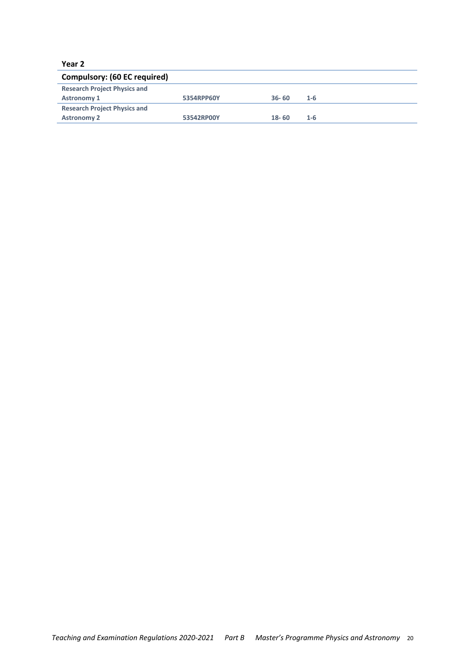#### **Year 2**

| Compulsory: (60 EC required)        |            |           |         |  |  |  |  |
|-------------------------------------|------------|-----------|---------|--|--|--|--|
| <b>Research Project Physics and</b> |            |           |         |  |  |  |  |
| <b>Astronomy 1</b>                  | 5354RPP60Y | $36 - 60$ | $1 - 6$ |  |  |  |  |
| <b>Research Project Physics and</b> |            |           |         |  |  |  |  |
| <b>Astronomy 2</b>                  | 53542RP00Y | $18 - 60$ | 1-6     |  |  |  |  |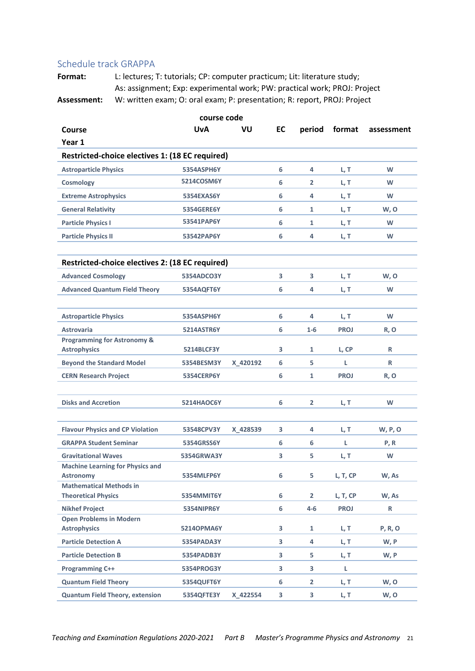#### Schedule track GRAPPA

| course code                                                   |                   |          |    |                |               |                |  |  |
|---------------------------------------------------------------|-------------------|----------|----|----------------|---------------|----------------|--|--|
| Course                                                        | <b>UvA</b>        | VU       | EC |                | period format | assessment     |  |  |
| Year 1                                                        |                   |          |    |                |               |                |  |  |
| Restricted-choice electives 1: (18 EC required)               |                   |          |    |                |               |                |  |  |
| <b>Astroparticle Physics</b>                                  | 5354ASPH6Y        |          | 6  | 4              | L, T          | W              |  |  |
| <b>Cosmology</b>                                              | 5214COSM6Y        |          | 6  | $\overline{2}$ | L, T          | W              |  |  |
| <b>Extreme Astrophysics</b>                                   | 5354EXAS6Y        |          | 6  | 4              | L, T          | W              |  |  |
| <b>General Relativity</b>                                     | 5354GERE6Y        |          | 6  | 1              | L, T          | W, O           |  |  |
| <b>Particle Physics I</b>                                     | 53541PAP6Y        |          | 6  | 1              | L, T          | W              |  |  |
| <b>Particle Physics II</b>                                    | 53542PAP6Y        |          | 6  | 4              | L, T          | W              |  |  |
| Restricted-choice electives 2: (18 EC required)               |                   |          |    |                |               |                |  |  |
| <b>Advanced Cosmology</b>                                     | 5354ADCO3Y        |          | 3  | 3              | L, T          | W, O           |  |  |
| <b>Advanced Quantum Field Theory</b>                          | 5354AQFT6Y        |          | 6  | 4              | L, T          | W              |  |  |
| <b>Astroparticle Physics</b>                                  | 5354ASPH6Y        |          | 6  | 4              | L, T          | W              |  |  |
| <b>Astrovaria</b>                                             | 5214ASTR6Y        |          | 6  | $1 - 6$        | <b>PROJ</b>   | R, O           |  |  |
| <b>Programming for Astronomy &amp;</b><br><b>Astrophysics</b> | <b>5214BLCF3Y</b> |          | 3  | 1              | L, CP         | R              |  |  |
| <b>Beyond the Standard Model</b>                              | 5354BESM3Y        | X 420192 | 6  | 5              | L             | R              |  |  |
| <b>CERN Research Project</b>                                  | <b>5354CERP6Y</b> |          | 6  | 1              | <b>PROJ</b>   | R, O           |  |  |
| <b>Disks and Accretion</b>                                    | <b>5214HAOC6Y</b> |          | 6  | $\overline{2}$ | L, T          | W              |  |  |
| <b>Flavour Physics and CP Violation</b>                       | 53548CPV3Y        | X 428539 | 3  | 4              | L, T          | <b>W, P, O</b> |  |  |
| <b>GRAPPA Student Seminar</b>                                 | 5354GRSS6Y        |          | 6  | 6              | L             | P, R           |  |  |
| <b>Gravitational Waves</b>                                    | 5354GRWA3Y        |          | 3  | 5              | L, T          | W              |  |  |
| <b>Machine Learning for Physics and</b><br><b>Astronomy</b>   | 5354MLFP6Y        |          | 6  | 5              | L, T, CP      | W, As          |  |  |
| <b>Mathematical Methods in</b><br><b>Theoretical Physics</b>  | 5354MMIT6Y        |          | 6  | $\overline{2}$ | L, T, CP      | W, As          |  |  |
| <b>Nikhef Project</b>                                         | 5354NIPR6Y        |          | 6  | $4 - 6$        | <b>PROJ</b>   | R              |  |  |
| <b>Open Problems in Modern</b><br><b>Astrophysics</b>         | 52140PMA6Y        |          | 3  | 1              | L, T          | P, R, O        |  |  |
| <b>Particle Detection A</b>                                   | 5354PADA3Y        |          | 3  | 4              | L, T          | W, P           |  |  |
| <b>Particle Detection B</b>                                   | 5354PADB3Y        |          | 3  | 5              | L, T          | W, P           |  |  |
| <b>Programming C++</b>                                        | 5354PROG3Y        |          | 3  | 3              | L             |                |  |  |
| <b>Quantum Field Theory</b>                                   | 5354QUFT6Y        |          | 6  | $\mathbf{2}$   | L, T          | W, O           |  |  |
| <b>Quantum Field Theory, extension</b>                        | 5354QFTE3Y        | X_422554 | 3  | 3              | L, T          | W, O           |  |  |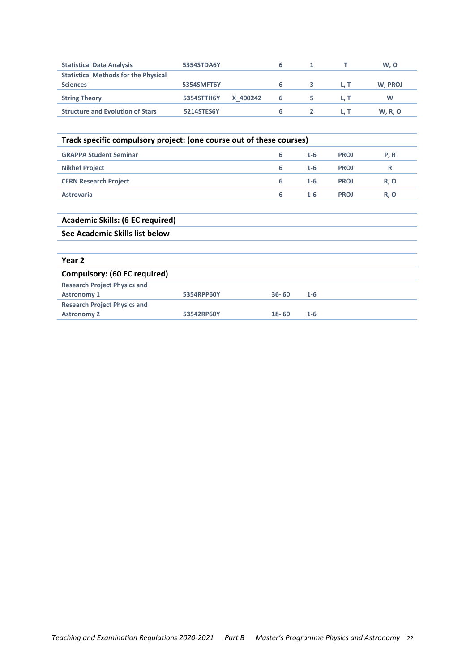| <b>Statistical Data Analysis</b>            | 5354STDA6Y |          | 6 |  | W, O           |
|---------------------------------------------|------------|----------|---|--|----------------|
| <b>Statistical Methods for the Physical</b> |            |          |   |  |                |
| <b>Sciences</b>                             | 5354SMFT6Y |          |   |  | W, PROJ        |
| <b>String Theory</b>                        | 5354STTH6Y | X 400242 | ь |  | w              |
| <b>Structure and Evolution of Stars</b>     | 5214STES6Y |          | ь |  | <b>W, R, O</b> |

| Track specific compulsory project: (one course out of these courses) |   |         |             |            |  |  |
|----------------------------------------------------------------------|---|---------|-------------|------------|--|--|
| <b>GRAPPA Student Seminar</b>                                        | 6 | $1 - 6$ | <b>PROJ</b> | P.R        |  |  |
| <b>Nikhef Project</b>                                                | 6 | $1 - 6$ | <b>PROJ</b> | R          |  |  |
| <b>CERN Research Project</b>                                         | 6 | $1 - 6$ | <b>PROJ</b> | <b>R.O</b> |  |  |
| <b>Astrovaria</b>                                                    | 6 | $1 - 6$ | <b>PROJ</b> | <b>R.O</b> |  |  |
|                                                                      |   |         |             |            |  |  |

| <b>Academic Skills: (6 EC required)</b> |            |           |         |
|-----------------------------------------|------------|-----------|---------|
| See Academic Skills list below          |            |           |         |
|                                         |            |           |         |
| Year 2                                  |            |           |         |
| Compulsory: (60 EC required)            |            |           |         |
| <b>Research Project Physics and</b>     |            |           |         |
| <b>Astronomy 1</b>                      | 5354RPP60Y | $36 - 60$ | $1 - 6$ |
| <b>Research Project Physics and</b>     |            |           |         |
| <b>Astronomy 2</b>                      | 53542RP60Y | $18 - 60$ | $1 - 6$ |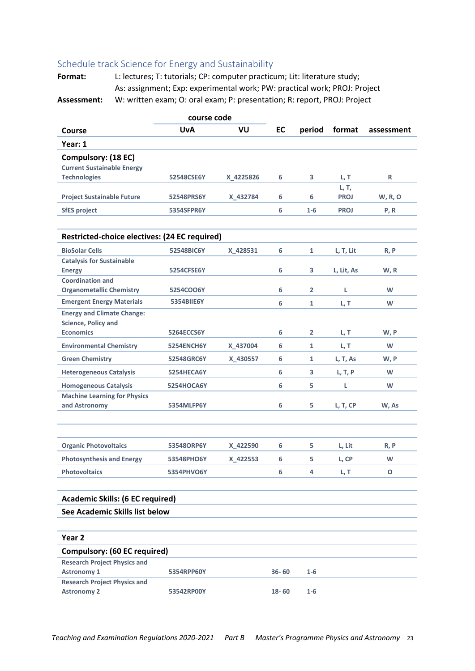#### Schedule track Science for Energy and Sustainability

| course code                                                           |            |           |           |                |             |                |
|-----------------------------------------------------------------------|------------|-----------|-----------|----------------|-------------|----------------|
| Course                                                                | UvA        | VU        | EC        | period         | format      | assessment     |
| Year: 1                                                               |            |           |           |                |             |                |
| Compulsory: (18 EC)                                                   |            |           |           |                |             |                |
| <b>Current Sustainable Energy</b>                                     |            |           |           |                |             |                |
| <b>Technologies</b>                                                   | 52548CSE6Y | X 4225826 | 6         | 3              | L, T        | R              |
|                                                                       |            |           |           |                | L, T,       |                |
| <b>Project Sustainable Future</b>                                     | 52548PRS6Y | X 432784  | 6         | 6              | <b>PROJ</b> | <b>W, R, O</b> |
| <b>SfES project</b>                                                   | 5354SFPR6Y |           | 6         | $1-6$          | <b>PROJ</b> | P, R           |
|                                                                       |            |           |           |                |             |                |
| Restricted-choice electives: (24 EC required)                         |            |           |           |                |             |                |
| <b>BioSolar Cells</b>                                                 | 52548BIC6Y | X 428531  | 6         | 1              | L, T, Lit   | R, P           |
| <b>Catalysis for Sustainable</b>                                      |            |           |           |                |             |                |
| <b>Energy</b>                                                         | 5254CFSE6Y |           | 6         | 3              | L, Lit, As  | W, R           |
| <b>Coordination and</b>                                               |            |           |           |                |             |                |
| <b>Organometallic Chemistry</b>                                       | 5254COO6Y  |           | 6         | $\overline{2}$ | L           | W              |
| <b>Emergent Energy Materials</b><br><b>Energy and Climate Change:</b> | 5354BIIE6Y |           | 6         | $\mathbf{1}$   | L, T        | W              |
| <b>Science, Policy and</b>                                            |            |           |           |                |             |                |
| <b>Economics</b>                                                      | 5264ECCS6Y |           | 6         | $\mathbf{2}$   | L, T        | W, P           |
| <b>Environmental Chemistry</b>                                        | 5254ENCH6Y | X 437004  | 6         | 1              | L, T        | W              |
| <b>Green Chemistry</b>                                                | 52548GRC6Y | X_430557  | 6         | 1              | L, T, As    | W, P           |
| <b>Heterogeneous Catalysis</b>                                        | 5254HECA6Y |           | 6         | 3              | L, T, P     | W              |
| <b>Homogeneous Catalysis</b>                                          | 5254HOCA6Y |           | 6         | 5              | L           | W              |
| <b>Machine Learning for Physics</b>                                   |            |           |           |                |             |                |
| and Astronomy                                                         | 5354MLFP6Y |           | 6         | 5              | L, T, CP    | W, As          |
|                                                                       |            |           |           |                |             |                |
|                                                                       |            |           |           |                |             |                |
| <b>Organic Photovoltaics</b>                                          | 53548ORP6Y | X 422590  | 6         | 5              | L, Lit      | R, P           |
| <b>Photosynthesis and Energy</b>                                      | 53548PHO6Y | X 422553  | 6         | 5              | L, CP       | W              |
| Photovoltaics                                                         | 5354PHVO6Y |           | 6         | 4              | L, T        | О              |
|                                                                       |            |           |           |                |             |                |
| <b>Academic Skills: (6 EC required)</b>                               |            |           |           |                |             |                |
| See Academic Skills list below                                        |            |           |           |                |             |                |
|                                                                       |            |           |           |                |             |                |
| Year <sub>2</sub>                                                     |            |           |           |                |             |                |
| <b>Compulsory: (60 EC required)</b>                                   |            |           |           |                |             |                |
| <b>Research Project Physics and</b>                                   |            |           |           |                |             |                |
| <b>Astronomy 1</b>                                                    | 5354RPP60Y |           | $36 - 60$ | $1 - 6$        |             |                |
| <b>Research Project Physics and</b>                                   |            |           |           |                |             |                |
| <b>Astronomy 2</b>                                                    | 53542RP00Y |           | $18 - 60$ | $1 - 6$        |             |                |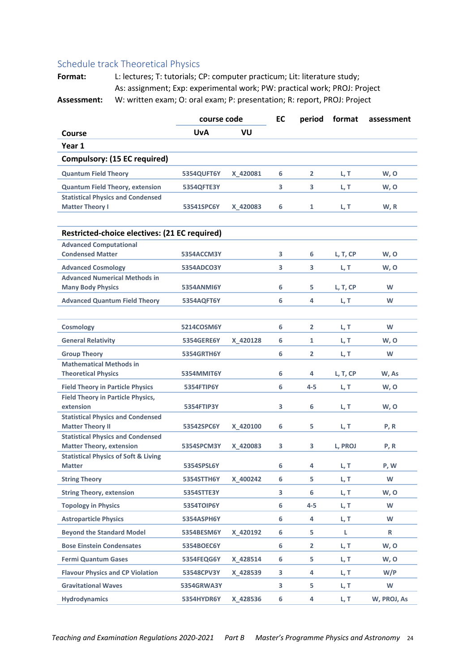#### Schedule track Theoretical Physics

|                                                                    | course code<br><b>UvA</b><br><b>VU</b> |          | EC | period         | format   | assessment  |
|--------------------------------------------------------------------|----------------------------------------|----------|----|----------------|----------|-------------|
| Course                                                             |                                        |          |    |                |          |             |
| Year 1                                                             |                                        |          |    |                |          |             |
| Compulsory: (15 EC required)                                       |                                        |          |    |                |          |             |
| <b>Quantum Field Theory</b>                                        | 5354QUFT6Y                             | X 420081 | 6  | $\overline{2}$ | L, T     | W, O        |
| <b>Quantum Field Theory, extension</b>                             | 5354QFTE3Y                             |          | 3  | 3              | L, T     | W, O        |
| <b>Statistical Physics and Condensed</b><br><b>Matter Theory I</b> | 53541SPC6Y                             | X 420083 | 6  | $\mathbf{1}$   | L, T     | W, R        |
| Restricted-choice electives: (21 EC required)                      |                                        |          |    |                |          |             |
| <b>Advanced Computational</b>                                      |                                        |          |    |                |          |             |
| <b>Condensed Matter</b>                                            | 5354ACCM3Y                             |          | 3  | 6              | L, T, CP | W, O        |
| <b>Advanced Cosmology</b>                                          | 5354ADCO3Y                             |          | 3  | 3              | L, T     | W, O        |
| <b>Advanced Numerical Methods in</b>                               |                                        |          |    |                |          |             |
| <b>Many Body Physics</b>                                           | 5354ANMI6Y                             |          | 6  | 5              | L, T, CP | W           |
| <b>Advanced Quantum Field Theory</b>                               | 5354AQFT6Y                             |          | 6  | 4              | L, T     | W           |
|                                                                    |                                        |          |    |                |          |             |
| <b>Cosmology</b>                                                   | 5214COSM6Y                             |          | 6  | $\mathbf{2}$   | L, T     | W           |
| <b>General Relativity</b>                                          | 5354GERE6Y                             | X 420128 | 6  | 1              | L, T     | W, O        |
| <b>Group Theory</b>                                                | 5354GRTH6Y                             |          | 6  | $\overline{2}$ | L, T     | W           |
| <b>Mathematical Methods in</b>                                     |                                        |          |    |                |          |             |
| <b>Theoretical Physics</b>                                         | 5354MMIT6Y                             |          | 6  | 4              | L, T, CP | W, As       |
| <b>Field Theory in Particle Physics</b>                            | 5354FTIP6Y                             |          | 6  | 4-5            | L, T     | W, O        |
| <b>Field Theory in Particle Physics,</b><br>extension              | 5354FTIP3Y                             |          | 3  | 6              | L, T     | W, O        |
| <b>Statistical Physics and Condensed</b>                           |                                        |          |    |                |          |             |
| <b>Matter Theory II</b>                                            | 53542SPC6Y                             | X 420100 | 6  | 5.             | L, T     | P, R        |
| <b>Statistical Physics and Condensed</b>                           |                                        |          |    |                |          |             |
| <b>Matter Theory, extension</b>                                    | 5354SPCM3Y                             | X 420083 | 3  | 3              | L, PROJ  | P, R        |
| <b>Statistical Physics of Soft &amp; Living</b>                    |                                        |          |    |                |          |             |
| <b>Matter</b>                                                      | 5354SPSL6Y                             |          | 6  | 4              | L, T     | P, W        |
| <b>String Theory</b>                                               | 5354STTH6Y                             | X_400242 | 6  | 5              | L, T     | W           |
| <b>String Theory, extension</b>                                    | 5354STTE3Y                             |          | 3  | 6              | L, T     | W, O        |
| <b>Topology in Physics</b>                                         | 5354TOIP6Y                             |          | 6  | $4 - 5$        | L, T     | W           |
| <b>Astroparticle Physics</b>                                       | 5354ASPH6Y                             |          | 6  | 4              | L, T     | W           |
| <b>Beyond the Standard Model</b>                                   | 5354BESM6Y                             | X_420192 | 6  | 5              | L        | R           |
| <b>Bose Einstein Condensates</b>                                   | 5354BOEC6Y                             |          | 6  | $\overline{2}$ | L, T     | W, O        |
| <b>Fermi Quantum Gases</b>                                         | 5354FEQG6Y                             | X_428514 | 6  | 5              | L, T     | W, O        |
| <b>Flavour Physics and CP Violation</b>                            | 53548CPV3Y                             | X_428539 | 3  | 4              | L, T     | W/P         |
| <b>Gravitational Waves</b>                                         | 5354GRWA3Y                             |          | 3  | 5.             | L, T     | W           |
| <b>Hydrodynamics</b>                                               | 5354HYDR6Y                             | X 428536 | 6  | 4              | L, T     | W, PROJ, As |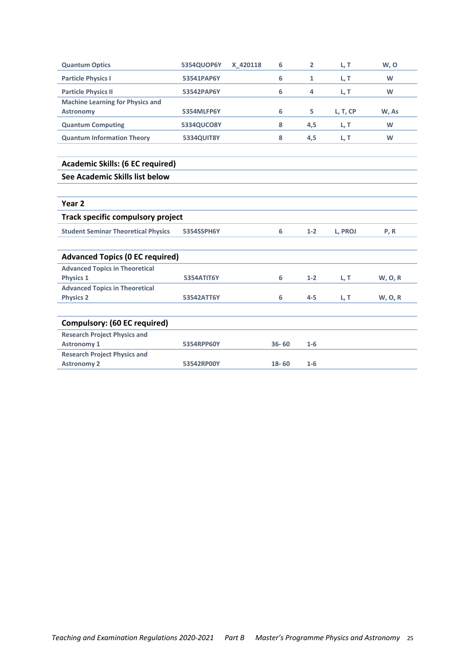| <b>Quantum Optics</b>                      | 5354QUOP6Y        | X 420118 | 6         | $\overline{2}$ | L, T     | W, O           |
|--------------------------------------------|-------------------|----------|-----------|----------------|----------|----------------|
| <b>Particle Physics I</b>                  | 53541PAP6Y        |          | 6         | $\mathbf{1}$   | L, T     | W              |
| <b>Particle Physics II</b>                 | 53542PAP6Y        |          | 6         | 4              | L, T     | W              |
| <b>Machine Learning for Physics and</b>    |                   |          |           |                |          |                |
| <b>Astronomy</b>                           | 5354MLFP6Y        |          | 6         | 5              | L, T, CP | W, As          |
| <b>Quantum Computing</b>                   | 5334QUCO8Y        |          | 8         | 4,5            | L, T     | W              |
| <b>Quantum Information Theory</b>          | <b>5334QUIT8Y</b> |          | 8         | 4,5            | L, T     | W              |
| <b>Academic Skills: (6 EC required)</b>    |                   |          |           |                |          |                |
| See Academic Skills list below             |                   |          |           |                |          |                |
| Year <sub>2</sub>                          |                   |          |           |                |          |                |
| <b>Track specific compulsory project</b>   |                   |          |           |                |          |                |
| <b>Student Seminar Theoretical Physics</b> | 5354SSPH6Y        |          | 6         | $1 - 2$        | L, PROJ  | P, R           |
| <b>Advanced Topics (0 EC required)</b>     |                   |          |           |                |          |                |
| <b>Advanced Topics in Theoretical</b>      |                   |          |           |                |          |                |
| <b>Physics 1</b>                           | 5354ATIT6Y        |          | 6         | $1 - 2$        | L, T     | <b>W, O, R</b> |
| <b>Advanced Topics in Theoretical</b>      |                   |          |           |                |          |                |
| <b>Physics 2</b>                           | 53542ATT6Y        |          | 6         | $4 - 5$        | L, T     | <b>W, O, R</b> |
| <b>Compulsory: (60 EC required)</b>        |                   |          |           |                |          |                |
| <b>Research Project Physics and</b>        |                   |          |           |                |          |                |
| <b>Astronomy 1</b>                         | 5354RPP60Y        |          | $36 - 60$ | $1-6$          |          |                |
| <b>Research Project Physics and</b>        |                   |          |           |                |          |                |
| <b>Astronomy 2</b>                         | 53542RP00Y        |          | $18 - 60$ | $1-6$          |          |                |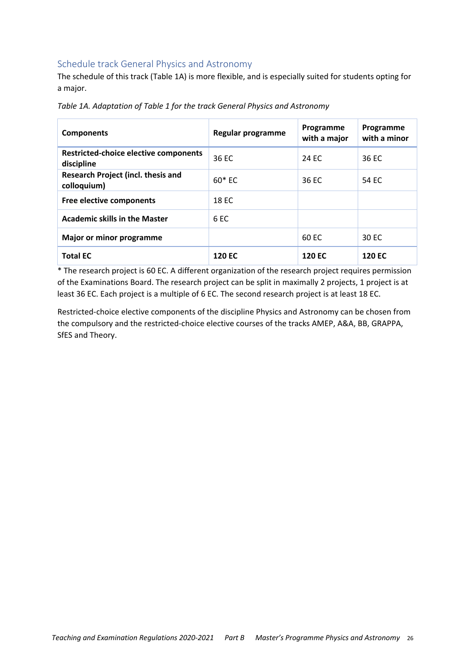#### Schedule track General Physics and Astronomy

The schedule of this track (Table 1A) is more flexible, and is especially suited for students opting for a major.

| <b>Components</b>                                        | Regular programme | Programme<br>with a major | Programme<br>with a minor |
|----------------------------------------------------------|-------------------|---------------------------|---------------------------|
| Restricted-choice elective components<br>discipline      | 36 EC             | 24 FC                     | 36 EC                     |
| <b>Research Project (incl. thesis and</b><br>colloquium) | 60* EC            | 36 EC                     | 54 EC                     |
| Free elective components                                 | <b>18 EC</b>      |                           |                           |
| <b>Academic skills in the Master</b>                     | 6 <sub>EC</sub>   |                           |                           |
| Major or minor programme                                 |                   | 60 EC                     | 30 EC                     |
| <b>Total EC</b>                                          | <b>120 EC</b>     | <b>120 EC</b>             | <b>120 EC</b>             |

*Table 1A. Adaptation of Table 1 for the track General Physics and Astronomy*

\* The research project is 60 EC. A different organization of the research project requires permission of the Examinations Board. The research project can be split in maximally 2 projects, 1 project is at least 36 EC. Each project is a multiple of 6 EC. The second research project is at least 18 EC.

Restricted-choice elective components of the discipline Physics and Astronomy can be chosen from the compulsory and the restricted‐choice elective courses of the tracks AMEP, A&A, BB, GRAPPA, SfES and Theory.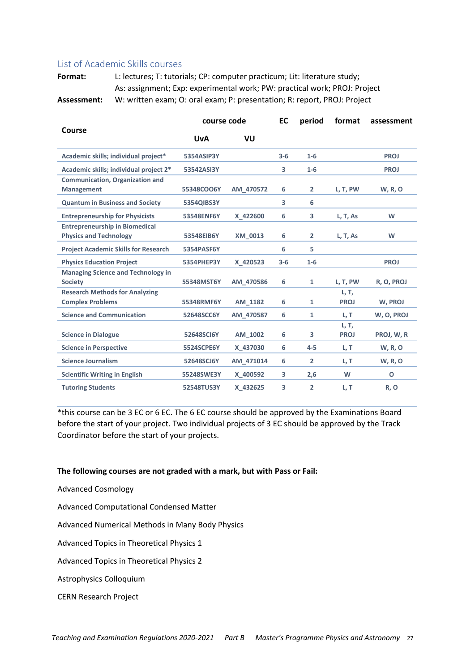#### List of Academic Skills courses

**Format:** L: lectures; T: tutorials; CP: computer practicum; Lit: literature study; As: assignment; Exp: experimental work; PW: practical work; PROJ: Project **Assessment:** W: written exam; O: oral exam; P: presentation; R: report, PROJ: Project

| Course                                                                 | course code |           | EC      | period         | format               | assessment     |
|------------------------------------------------------------------------|-------------|-----------|---------|----------------|----------------------|----------------|
|                                                                        | <b>UvA</b>  | VU        |         |                |                      |                |
| Academic skills; individual project*                                   | 5354ASIP3Y  |           | $3 - 6$ | $1-6$          |                      | <b>PROJ</b>    |
| Academic skills; individual project 2*                                 | 53542ASI3Y  |           | 3       | $1-6$          |                      | <b>PROJ</b>    |
| <b>Communication, Organization and</b>                                 |             |           |         |                |                      |                |
| <b>Management</b>                                                      | 55348COO6Y  | AM 470572 | 6       | $\overline{2}$ | L, T, PW             | <b>W, R, O</b> |
| <b>Quantum in Business and Society</b>                                 | 5354QIBS3Y  |           | 3       | 6              |                      |                |
| <b>Entrepreneurship for Physicists</b>                                 | 53548ENF6Y  | X 422600  | 6       | 3              | L, T, As             | W              |
| <b>Entrepreneurship in Biomedical</b><br><b>Physics and Technology</b> | 53548EIB6Y  | XM 0013   | 6       | $\overline{2}$ | L, T, As             | W              |
| <b>Project Academic Skills for Research</b>                            | 5354PASF6Y  |           | 6       | 5              |                      |                |
| <b>Physics Education Project</b>                                       | 5354PHEP3Y  | X 420523  | $3 - 6$ | $1-6$          |                      | <b>PROJ</b>    |
| <b>Managing Science and Technology in</b><br><b>Society</b>            | 55348MST6Y  | AM 470586 | 6       | $\mathbf{1}$   | L, T, PW             | R, O, PROJ     |
| <b>Research Methods for Analyzing</b><br><b>Complex Problems</b>       | 55348RMF6Y  | AM 1182   | 6       | $\mathbf{1}$   | L, T,<br><b>PROJ</b> | W. PROJ        |
| <b>Science and Communication</b>                                       | 52648SCC6Y  | AM 470587 | 6       | $\mathbf{1}$   | L, T                 | W, O, PROJ     |
| <b>Science in Dialogue</b>                                             | 52648SCI6Y  | AM 1002   | 6       | 3              | L, T,<br><b>PROJ</b> | PROJ, W, R     |
| <b>Science in Perspective</b>                                          | 5524SCPE6Y  | X 437030  | 6       | $4 - 5$        | L, T                 | <b>W, R, O</b> |
| <b>Science Journalism</b>                                              | 52648SCJ6Y  | AM 471014 | 6       | $\overline{2}$ | L, T                 | <b>W, R, O</b> |
| <b>Scientific Writing in English</b>                                   | 55248SWE3Y  | X 400592  | 3       | 2,6            | W                    | $\Omega$       |
| <b>Tutoring Students</b>                                               | 52548TUS3Y  | X 432625  | 3       | $\overline{2}$ | L, T                 | R, O           |

\*this course can be 3 EC or 6 EC. The 6 EC course should be approved by the Examinations Board before the start of your project. Two individual projects of 3 EC should be approved by the Track Coordinator before the start of your projects.

#### **The following courses are not graded with a mark, but with Pass or Fail:**

Advanced Cosmology

Advanced Computational Condensed Matter

Advanced Numerical Methods in Many Body Physics

Advanced Topics in Theoretical Physics 1

Advanced Topics in Theoretical Physics 2

Astrophysics Colloquium

CERN Research Project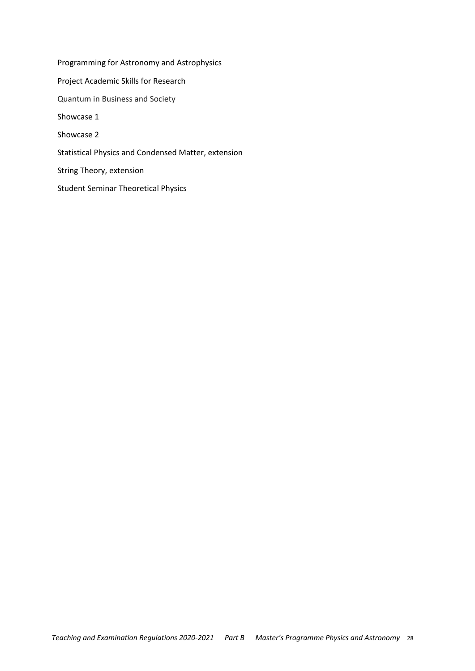Programming for Astronomy and Astrophysics Project Academic Skills for Research Quantum in Business and Society Showcase 1 Showcase 2 Statistical Physics and Condensed Matter, extension String Theory, extension Student Seminar Theoretical Physics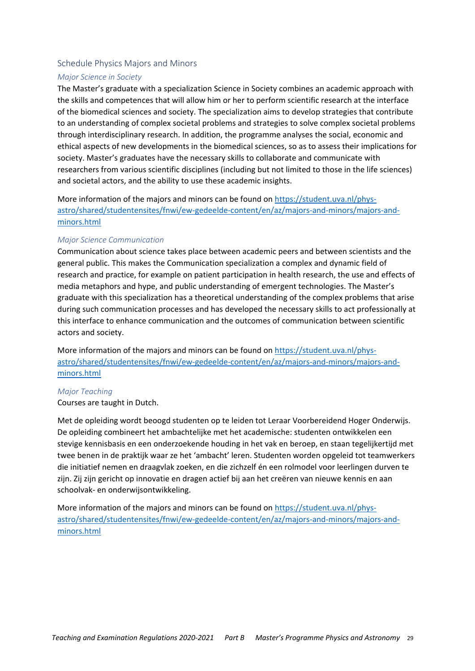#### Schedule Physics Majors and Minors

#### *Major Science in Society*

The Master's graduate with a specialization Science in Society combines an academic approach with the skills and competences that will allow him or her to perform scientific research at the interface of the biomedical sciences and society. The specialization aims to develop strategies that contribute to an understanding of complex societal problems and strategies to solve complex societal problems through interdisciplinary research. In addition, the programme analyses the social, economic and ethical aspects of new developments in the biomedical sciences, so as to assess their implications for society. Master's graduates have the necessary skills to collaborate and communicate with researchers from various scientific disciplines (including but not limited to those in the life sciences) and societal actors, and the ability to use these academic insights.

More information of the majors and minors can be found on https://student.uva.nl/physastro/shared/studentensites/fnwi/ew‐gedeelde‐content/en/az/majors‐and‐minors/majors‐and‐ minors.html

#### *Major Science Communication*

Communication about science takes place between academic peers and between scientists and the general public. This makes the Communication specialization a complex and dynamic field of research and practice, for example on patient participation in health research, the use and effects of media metaphors and hype, and public understanding of emergent technologies. The Master's graduate with this specialization has a theoretical understanding of the complex problems that arise during such communication processes and has developed the necessary skills to act professionally at this interface to enhance communication and the outcomes of communication between scientific actors and society.

More information of the majors and minors can be found on https://student.uva.nl/physastro/shared/studentensites/fnwi/ew‐gedeelde‐content/en/az/majors‐and‐minors/majors‐and‐ minors.html

#### *Major Teaching*

Courses are taught in Dutch.

Met de opleiding wordt beoogd studenten op te leiden tot Leraar Voorbereidend Hoger Onderwijs. De opleiding combineert het ambachtelijke met het academische: studenten ontwikkelen een stevige kennisbasis en een onderzoekende houding in het vak en beroep, en staan tegelijkertijd met twee benen in de praktijk waar ze het 'ambacht' leren. Studenten worden opgeleid tot teamwerkers die initiatief nemen en draagvlak zoeken, en die zichzelf én een rolmodel voor leerlingen durven te zijn. Zij zijn gericht op innovatie en dragen actief bij aan het creëren van nieuwe kennis en aan schoolvak‐ en onderwijsontwikkeling.

More information of the majors and minors can be found on https://student.uva.nl/physastro/shared/studentensites/fnwi/ew‐gedeelde‐content/en/az/majors‐and‐minors/majors‐and‐ minors.html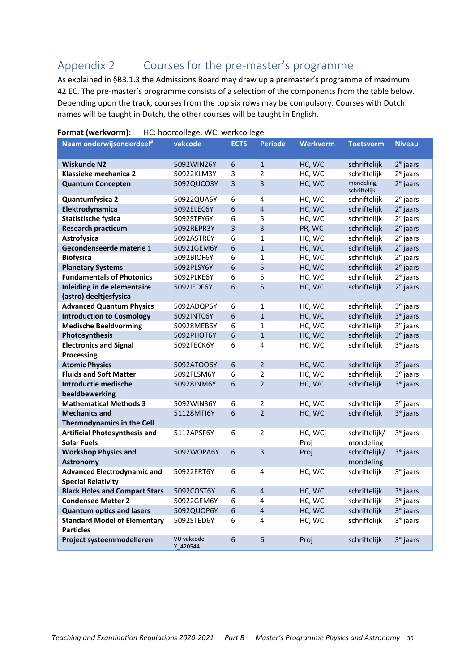# Appendix 2 Courses for the pre‐master's programme

As explained in §B3.1.3 the Admissions Board may draw up a premaster's programme of maximum 42 EC. The pre-master's programme consists of a selection of the components from the table below. Depending upon the track, courses from the top six rows may be compulsory. Courses with Dutch names will be taught in Dutch, the other courses will be taught in English.

| Naam onderwijsonderdeel <sup>#</sup> | vakcode                | <b>ECTS</b> | <b>Periode</b>          | <b>Werkvorm</b> | <b>Toetsvorm</b>           | <b>Niveau</b>        |
|--------------------------------------|------------------------|-------------|-------------------------|-----------------|----------------------------|----------------------|
|                                      |                        |             |                         |                 |                            |                      |
| <b>Wiskunde N2</b>                   | 5092WIN26Y             | 6           | $\mathbf{1}$            | HC, WC          | schriftelijk               | $2e$ jaars           |
| Klassieke mechanica 2                | 50922KLM3Y             | 3           | $\overline{2}$          | HC, WC          | schriftelijk               | $2e$ jaars           |
| <b>Quantum Concepten</b>             | 5092QUCO3Y             | 3           | 3                       | HC, WC          | mondeling,<br>schriftelijk | $2e$ jaars           |
| Quantumfysica 2                      | 50922QUA6Y             | 6           | 4                       | HC, WC          | schriftelijk               | $2e$ jaars           |
| Elektrodynamica                      | 5092ELEC6Y             | 6           | $\overline{\mathbf{4}}$ | HC, WC          | schriftelijk               | $2e$ jaars           |
| <b>Statistische fysica</b>           | 5092STFY6Y             | 6           | 5                       | HC, WC          | schriftelijk               | $2e$ jaars           |
| <b>Research practicum</b>            | 5092REPR3Y             | 3           | 3                       | PR, WC          | schriftelijk               | $2e$ jaars           |
| Astrofysica                          | 5092ASTR6Y             | 6           | $\mathbf{1}$            | HC, WC          | schriftelijk               | $2e$ jaars           |
| Gecondenseerde materie 1             | 50921GEM6Y             | 6           | $\mathbf{1}$            | HC, WC          | schriftelijk               | $2e$ jaars           |
| <b>Biofysica</b>                     | 5092BIOF6Y             | 6           | $\mathbf{1}$            | HC, WC          | schriftelijk               | $2e$ jaars           |
| <b>Planetary Systems</b>             | 5092PLSY6Y             | 6           | 5                       | HC, WC          | schriftelijk               | $2e$ jaars           |
| <b>Fundamentals of Photonics</b>     | 5092PLKE6Y             | 6           | 5                       | HC, WC          | schriftelijk               | $2e$ jaars           |
| Inleiding in de elementaire          | 5092IEDF6Y             | 6           | 5                       | HC, WC          | schriftelijk               | $2e$ jaars           |
| (astro) deeltjesfysica               |                        |             |                         |                 |                            |                      |
| <b>Advanced Quantum Physics</b>      | 5092ADQP6Y             | 6           | $\mathbf{1}$            | HC, WC          | schriftelijk               | 3 <sup>e</sup> jaars |
| <b>Introduction to Cosmology</b>     | 5092INTC6Y             | 6           | $\mathbf{1}$            | HC, WC          | schriftelijk               | $3e$ jaars           |
| <b>Medische Beeldvorming</b>         | 50928MEB6Y             | 6           | 1                       | HC, WC          | schriftelijk               | 3 <sup>e</sup> jaars |
| Photosynthesis                       | 5092PHOT6Y             | 6           | $\mathbf{1}$            | HC, WC          | schriftelijk               | $3e$ jaars           |
| <b>Electronics and Signal</b>        | 5092FECK6Y             | 6           | 4                       | HC, WC          | schriftelijk               | 3 <sup>e</sup> jaars |
| <b>Processing</b>                    |                        |             |                         |                 |                            |                      |
| <b>Atomic Physics</b>                | 5092ATOO6Y             | 6           | $\overline{2}$          | HC, WC          | schriftelijk               | $3e$ jaars           |
| <b>Fluids and Soft Matter</b>        | 5092FLSM6Y             | 6           | $\overline{2}$          | HC, WC          | schriftelijk               | $3e$ jaars           |
| Introductie medische                 | 50928INM6Y             | 6           | $\overline{2}$          | HC, WC          | schriftelijk               | $3e$ jaars           |
| beeldbewerking                       |                        |             |                         |                 |                            |                      |
| <b>Mathematical Methods 3</b>        | 5092WIN36Y             | 6           | 2                       | HC, WC          | schriftelijk               | $3e$ jaars           |
| <b>Mechanics and</b>                 | 51128MTI6Y             | 6           | $\overline{2}$          | HC, WC          | schriftelijk               | $3e$ jaars           |
| <b>Thermodynamics in the Cell</b>    |                        |             |                         |                 |                            |                      |
| <b>Artificial Photosynthesis and</b> | 5112APSF6Y             | 6           | $\overline{2}$          | HC, WC,         | schriftelijk/              | 3 <sup>e</sup> jaars |
| <b>Solar Fuels</b>                   |                        |             |                         | Proj            | mondeling                  |                      |
| <b>Workshop Physics and</b>          | 5092WOPA6Y             | 6           | 3                       | Proj            | schriftelijk/              | $3e$ jaars           |
| <b>Astronomy</b>                     |                        |             |                         |                 | mondeling                  |                      |
| <b>Advanced Electrodynamic and</b>   | 50922ERT6Y             | 6           | 4                       | HC, WC          | schriftelijk               | $3e$ jaars           |
| <b>Special Relativity</b>            |                        |             |                         |                 |                            |                      |
| <b>Black Holes and Compact Stars</b> | 5092COST6Y             | 6           | 4                       | HC, WC          | schriftelijk               | $3e$ jaars           |
| <b>Condensed Matter 2</b>            | 50922GEM6Y             | 6           | 4                       | HC, WC          | schriftelijk               | $3e$ jaars           |
| <b>Quantum optics and lasers</b>     | 5092QUOP6Y             | 6           | $\overline{4}$          | HC, WC          | schriftelijk               | $3e$ jaars           |
| <b>Standard Model of Elementary</b>  | 5092STED6Y             | 6           | 4                       | HC, WC          | schriftelijk               | 3 <sup>e</sup> jaars |
| <b>Particles</b>                     |                        |             |                         |                 |                            |                      |
| Project systeemmodelleren            | VU vakcode<br>X 420544 | 6           | 6                       | Proj            | schriftelijk               | $3e$ jaars           |

#### **Format (werkvorm):** HC: hoorcollege, WC: werkcollege.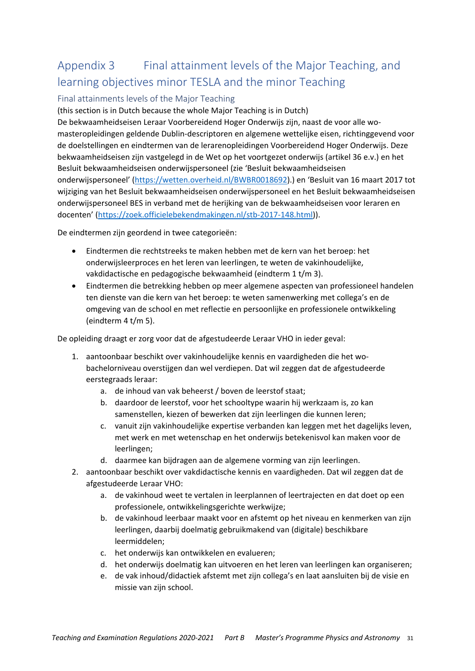# Appendix 3 Final attainment levels of the Major Teaching, and learning objectives minor TESLA and the minor Teaching

#### Final attainments levels of the Major Teaching

(this section is in Dutch because the whole Major Teaching is in Dutch)

De bekwaamheidseisen Leraar Voorbereidend Hoger Onderwijs zijn, naast de voor alle wo‐ masteropleidingen geldende Dublin‐descriptoren en algemene wettelijke eisen, richtinggevend voor de doelstellingen en eindtermen van de lerarenopleidingen Voorbereidend Hoger Onderwijs. Deze bekwaamheidseisen zijn vastgelegd in de Wet op het voortgezet onderwijs (artikel 36 e.v.) en het Besluit bekwaamheidseisen onderwijspersoneel (zie 'Besluit bekwaamheidseisen onderwijspersoneel' (https://wetten.overheid.nl/BWBR0018692).) en 'Besluit van 16 maart 2017 tot wijziging van het Besluit bekwaamheidseisen onderwijspersoneel en het Besluit bekwaamheidseisen onderwijspersoneel BES in verband met de herijking van de bekwaamheidseisen voor leraren en docenten' (https://zoek.officielebekendmakingen.nl/stb‐2017‐148.html)).

De eindtermen zijn geordend in twee categorieën:

- Eindtermen die rechtstreeks te maken hebben met de kern van het beroep: het onderwijsleerproces en het leren van leerlingen, te weten de vakinhoudelijke, vakdidactische en pedagogische bekwaamheid (eindterm 1 t/m 3).
- Eindtermen die betrekking hebben op meer algemene aspecten van professioneel handelen ten dienste van die kern van het beroep: te weten samenwerking met collega's en de omgeving van de school en met reflectie en persoonlijke en professionele ontwikkeling (eindterm 4 t/m 5).

De opleiding draagt er zorg voor dat de afgestudeerde Leraar VHO in ieder geval:

- 1. aantoonbaar beschikt over vakinhoudelijke kennis en vaardigheden die het wobachelorniveau overstijgen dan wel verdiepen. Dat wil zeggen dat de afgestudeerde eerstegraads leraar:
	- a. de inhoud van vak beheerst / boven de leerstof staat;
	- b. daardoor de leerstof, voor het schooltype waarin hij werkzaam is, zo kan samenstellen, kiezen of bewerken dat zijn leerlingen die kunnen leren;
	- c. vanuit zijn vakinhoudelijke expertise verbanden kan leggen met het dagelijks leven, met werk en met wetenschap en het onderwijs betekenisvol kan maken voor de leerlingen;
	- d. daarmee kan bijdragen aan de algemene vorming van zijn leerlingen.
- 2. aantoonbaar beschikt over vakdidactische kennis en vaardigheden. Dat wil zeggen dat de afgestudeerde Leraar VHO:
	- a. de vakinhoud weet te vertalen in leerplannen of leertrajecten en dat doet op een professionele, ontwikkelingsgerichte werkwijze;
	- b. de vakinhoud leerbaar maakt voor en afstemt op het niveau en kenmerken van zijn leerlingen, daarbij doelmatig gebruikmakend van (digitale) beschikbare leermiddelen;
	- c. het onderwijs kan ontwikkelen en evalueren;
	- d. het onderwijs doelmatig kan uitvoeren en het leren van leerlingen kan organiseren;
	- e. de vak inhoud/didactiek afstemt met zijn collega's en laat aansluiten bij de visie en missie van zijn school.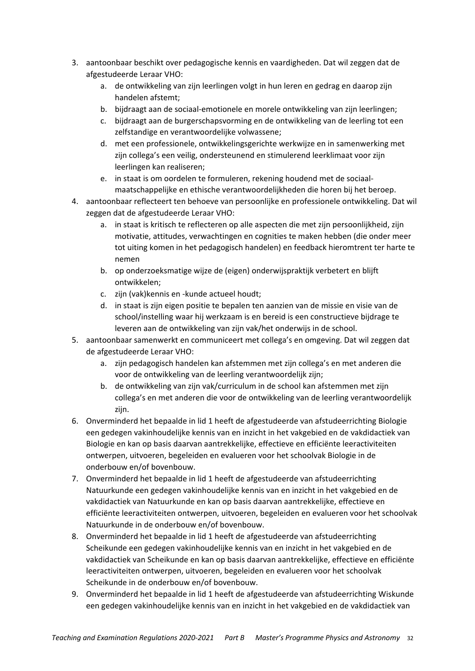- 3. aantoonbaar beschikt over pedagogische kennis en vaardigheden. Dat wil zeggen dat de afgestudeerde Leraar VHO:
	- a. de ontwikkeling van zijn leerlingen volgt in hun leren en gedrag en daarop zijn handelen afstemt;
	- b. bijdraagt aan de sociaal‐emotionele en morele ontwikkeling van zijn leerlingen;
	- c. bijdraagt aan de burgerschapsvorming en de ontwikkeling van de leerling tot een zelfstandige en verantwoordelijke volwassene;
	- d. met een professionele, ontwikkelingsgerichte werkwijze en in samenwerking met zijn collega's een veilig, ondersteunend en stimulerend leerklimaat voor zijn leerlingen kan realiseren;
	- e. in staat is om oordelen te formuleren, rekening houdend met de sociaal‐ maatschappelijke en ethische verantwoordelijkheden die horen bij het beroep.
- 4. aantoonbaar reflecteert ten behoeve van persoonlijke en professionele ontwikkeling. Dat wil zeggen dat de afgestudeerde Leraar VHO:
	- a. in staat is kritisch te reflecteren op alle aspecten die met zijn persoonlijkheid, zijn motivatie, attitudes, verwachtingen en cognities te maken hebben (die onder meer tot uiting komen in het pedagogisch handelen) en feedback hieromtrent ter harte te nemen
	- b. op onderzoeksmatige wijze de (eigen) onderwijspraktijk verbetert en blijft ontwikkelen;
	- c. zijn (vak)kennis en ‐kunde actueel houdt;
	- d. in staat is zijn eigen positie te bepalen ten aanzien van de missie en visie van de school/instelling waar hij werkzaam is en bereid is een constructieve bijdrage te leveren aan de ontwikkeling van zijn vak/het onderwijs in de school.
- 5. aantoonbaar samenwerkt en communiceert met collega's en omgeving. Dat wil zeggen dat de afgestudeerde Leraar VHO:
	- a. zijn pedagogisch handelen kan afstemmen met zijn collega's en met anderen die voor de ontwikkeling van de leerling verantwoordelijk zijn;
	- b. de ontwikkeling van zijn vak/curriculum in de school kan afstemmen met zijn collega's en met anderen die voor de ontwikkeling van de leerling verantwoordelijk zijn.
- 6. Onverminderd het bepaalde in lid 1 heeft de afgestudeerde van afstudeerrichting Biologie een gedegen vakinhoudelijke kennis van en inzicht in het vakgebied en de vakdidactiek van Biologie en kan op basis daarvan aantrekkelijke, effectieve en efficiënte leeractiviteiten ontwerpen, uitvoeren, begeleiden en evalueren voor het schoolvak Biologie in de onderbouw en/of bovenbouw.
- 7. Onverminderd het bepaalde in lid 1 heeft de afgestudeerde van afstudeerrichting Natuurkunde een gedegen vakinhoudelijke kennis van en inzicht in het vakgebied en de vakdidactiek van Natuurkunde en kan op basis daarvan aantrekkelijke, effectieve en efficiënte leeractiviteiten ontwerpen, uitvoeren, begeleiden en evalueren voor het schoolvak Natuurkunde in de onderbouw en/of bovenbouw.
- 8. Onverminderd het bepaalde in lid 1 heeft de afgestudeerde van afstudeerrichting Scheikunde een gedegen vakinhoudelijke kennis van en inzicht in het vakgebied en de vakdidactiek van Scheikunde en kan op basis daarvan aantrekkelijke, effectieve en efficiënte leeractiviteiten ontwerpen, uitvoeren, begeleiden en evalueren voor het schoolvak Scheikunde in de onderbouw en/of bovenbouw.
- 9. Onverminderd het bepaalde in lid 1 heeft de afgestudeerde van afstudeerrichting Wiskunde een gedegen vakinhoudelijke kennis van en inzicht in het vakgebied en de vakdidactiek van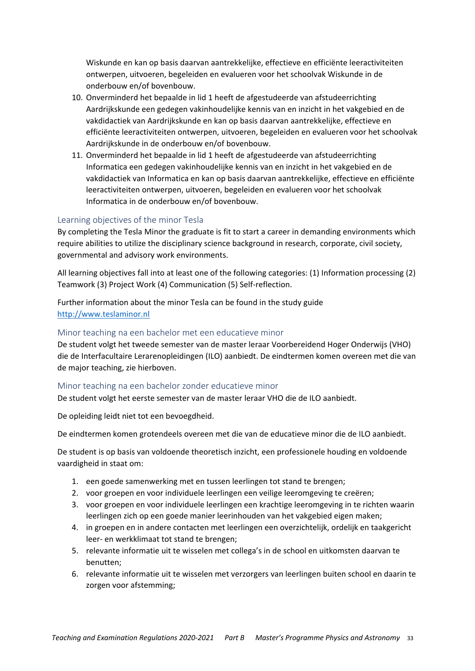Wiskunde en kan op basis daarvan aantrekkelijke, effectieve en efficiënte leeractiviteiten ontwerpen, uitvoeren, begeleiden en evalueren voor het schoolvak Wiskunde in de onderbouw en/of bovenbouw.

- 10. Onverminderd het bepaalde in lid 1 heeft de afgestudeerde van afstudeerrichting Aardrijkskunde een gedegen vakinhoudelijke kennis van en inzicht in het vakgebied en de vakdidactiek van Aardrijkskunde en kan op basis daarvan aantrekkelijke, effectieve en efficiënte leeractiviteiten ontwerpen, uitvoeren, begeleiden en evalueren voor het schoolvak Aardrijkskunde in de onderbouw en/of bovenbouw.
- 11. Onverminderd het bepaalde in lid 1 heeft de afgestudeerde van afstudeerrichting Informatica een gedegen vakinhoudelijke kennis van en inzicht in het vakgebied en de vakdidactiek van Informatica en kan op basis daarvan aantrekkelijke, effectieve en efficiënte leeractiviteiten ontwerpen, uitvoeren, begeleiden en evalueren voor het schoolvak Informatica in de onderbouw en/of bovenbouw.

#### Learning objectives of the minor Tesla

By completing the Tesla Minor the graduate is fit to start a career in demanding environments which require abilities to utilize the disciplinary science background in research, corporate, civil society, governmental and advisory work environments.

All learning objectives fall into at least one of the following categories: (1) Information processing (2) Teamwork (3) Project Work (4) Communication (5) Self‐reflection.

Further information about the minor Tesla can be found in the study guide http://www.teslaminor.nl

#### Minor teaching na een bachelor met een educatieve minor

De student volgt het tweede semester van de master leraar Voorbereidend Hoger Onderwijs (VHO) die de Interfacultaire Lerarenopleidingen (ILO) aanbiedt. De eindtermen komen overeen met die van de major teaching, zie hierboven.

#### Minor teaching na een bachelor zonder educatieve minor

De student volgt het eerste semester van de master leraar VHO die de ILO aanbiedt.

De opleiding leidt niet tot een bevoegdheid.

De eindtermen komen grotendeels overeen met die van de educatieve minor die de ILO aanbiedt.

De student is op basis van voldoende theoretisch inzicht, een professionele houding en voldoende vaardigheid in staat om:

- 1. een goede samenwerking met en tussen leerlingen tot stand te brengen;
- 2. voor groepen en voor individuele leerlingen een veilige leeromgeving te creëren;
- 3. voor groepen en voor individuele leerlingen een krachtige leeromgeving in te richten waarin leerlingen zich op een goede manier leerinhouden van het vakgebied eigen maken;
- 4. in groepen en in andere contacten met leerlingen een overzichtelijk, ordelijk en taakgericht leer‐ en werkklimaat tot stand te brengen;
- 5. relevante informatie uit te wisselen met collega's in de school en uitkomsten daarvan te benutten;
- 6. relevante informatie uit te wisselen met verzorgers van leerlingen buiten school en daarin te zorgen voor afstemming;